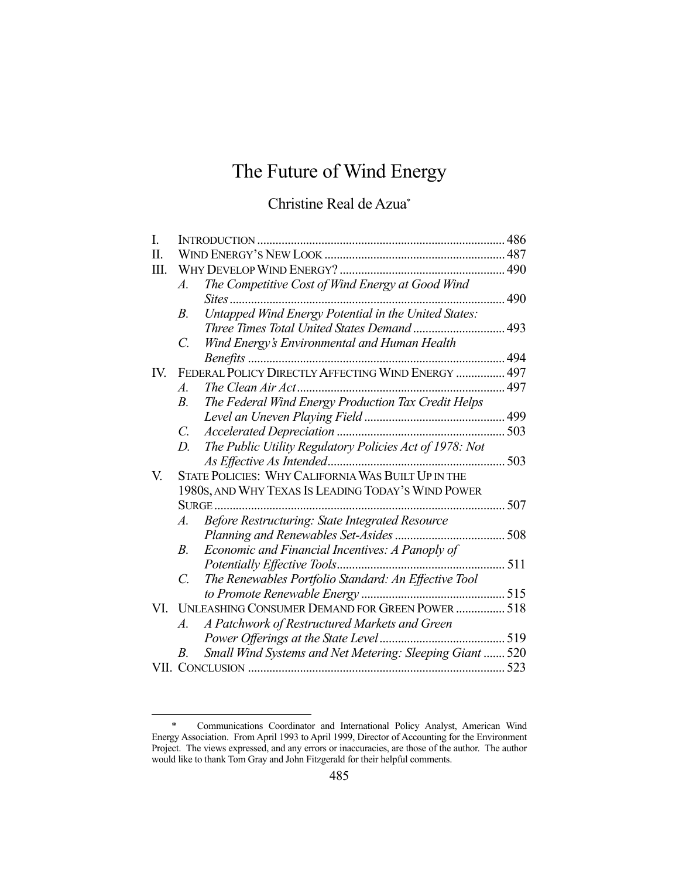# The Future of Wind Energy

# Christine Real de Azua\*

| I.  |                  |                                                          | 486 |
|-----|------------------|----------------------------------------------------------|-----|
| П.  |                  |                                                          |     |
| Ш.  |                  |                                                          |     |
|     | Α.               | The Competitive Cost of Wind Energy at Good Wind         |     |
|     |                  | <i>Sites</i>                                             | 490 |
|     | $B$ .            | Untapped Wind Energy Potential in the United States:     |     |
|     |                  |                                                          |     |
|     | C.               | Wind Energy's Environmental and Human Health             |     |
|     |                  |                                                          | 494 |
| IV. |                  | FEDERAL POLICY DIRECTLY AFFECTING WIND ENERGY  497       |     |
|     | $\mathcal{A}$ .  |                                                          |     |
|     | $B_{\cdot}$      | The Federal Wind Energy Production Tax Credit Helps      |     |
|     |                  |                                                          |     |
|     | $C_{\cdot}$      |                                                          |     |
|     | $D_{\cdot}$      | The Public Utility Regulatory Policies Act of 1978: Not  |     |
|     |                  | As Effective As Intended                                 | 503 |
| V.  |                  | STATE POLICIES: WHY CALIFORNIA WAS BUILT UP IN THE       |     |
|     |                  | 1980s, AND WHY TEXAS IS LEADING TODAY'S WIND POWER       |     |
|     |                  |                                                          | 507 |
|     | A.               | Before Restructuring: State Integrated Resource          |     |
|     |                  | Planning and Renewables Set-Asides                       | 508 |
|     | $B_{\cdot}$      | Economic and Financial Incentives: A Panoply of          |     |
|     |                  |                                                          |     |
|     | $\overline{C}$ . | The Renewables Portfolio Standard: An Effective Tool     |     |
|     |                  |                                                          |     |
| VI. |                  | UNLEASHING CONSUMER DEMAND FOR GREEN POWER  518          |     |
|     | A.               | A Patchwork of Restructured Markets and Green            |     |
|     |                  |                                                          |     |
|     | В.               | Small Wind Systems and Net Metering: Sleeping Giant  520 |     |
|     |                  |                                                          |     |

 <sup>\*</sup> Communications Coordinator and International Policy Analyst, American Wind Energy Association. From April 1993 to April 1999, Director of Accounting for the Environment Project. The views expressed, and any errors or inaccuracies, are those of the author. The author would like to thank Tom Gray and John Fitzgerald for their helpful comments.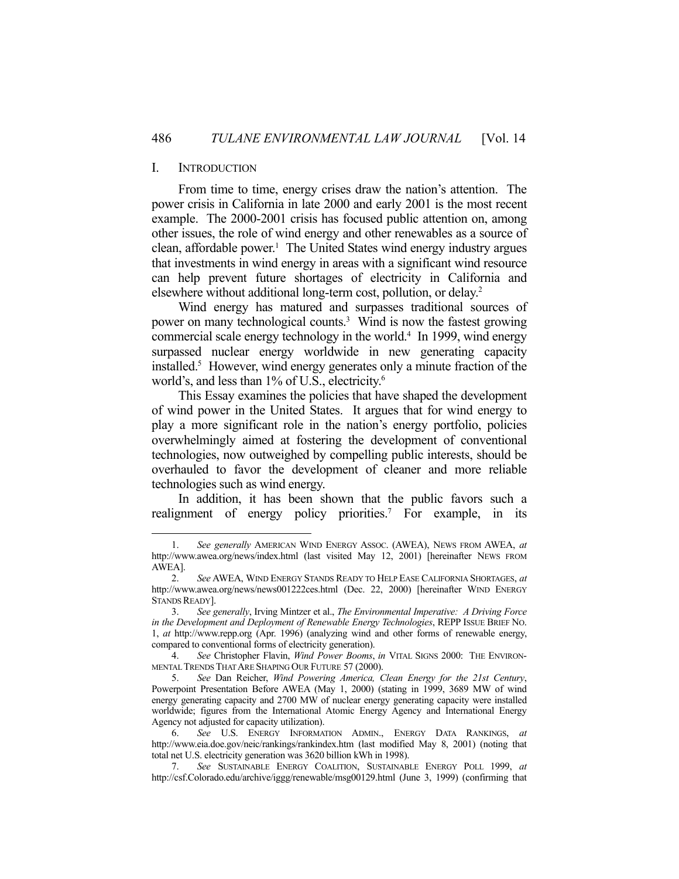#### I. INTRODUCTION

1

 From time to time, energy crises draw the nation's attention. The power crisis in California in late 2000 and early 2001 is the most recent example. The 2000-2001 crisis has focused public attention on, among other issues, the role of wind energy and other renewables as a source of clean, affordable power.<sup>1</sup> The United States wind energy industry argues that investments in wind energy in areas with a significant wind resource can help prevent future shortages of electricity in California and elsewhere without additional long-term cost, pollution, or delay.2

 Wind energy has matured and surpasses traditional sources of power on many technological counts.<sup>3</sup> Wind is now the fastest growing commercial scale energy technology in the world.<sup>4</sup> In 1999, wind energy surpassed nuclear energy worldwide in new generating capacity installed.5 However, wind energy generates only a minute fraction of the world's, and less than 1% of U.S., electricity.<sup>6</sup>

 This Essay examines the policies that have shaped the development of wind power in the United States. It argues that for wind energy to play a more significant role in the nation's energy portfolio, policies overwhelmingly aimed at fostering the development of conventional technologies, now outweighed by compelling public interests, should be overhauled to favor the development of cleaner and more reliable technologies such as wind energy.

 In addition, it has been shown that the public favors such a realignment of energy policy priorities.<sup>7</sup> For example, in its

 <sup>1.</sup> *See generally* AMERICAN WIND ENERGY ASSOC. (AWEA), NEWS FROM AWEA, *at* http://www.awea.org/news/index.html (last visited May 12, 2001) [hereinafter NEWS FROM AWEA].

 <sup>2.</sup> *See* AWEA, WIND ENERGY STANDS READY TO HELP EASE CALIFORNIA SHORTAGES, *at* http://www.awea.org/news/news001222ces.html (Dec. 22, 2000) [hereinafter WIND ENERGY STANDS READY].

 <sup>3.</sup> *See generally*, Irving Mintzer et al., *The Environmental Imperative: A Driving Force in the Development and Deployment of Renewable Energy Technologies*, REPP ISSUE BRIEF NO. 1, *at* http://www.repp.org (Apr. 1996) (analyzing wind and other forms of renewable energy, compared to conventional forms of electricity generation).

 <sup>4.</sup> *See* Christopher Flavin, *Wind Power Booms*, *in* VITAL SIGNS 2000: THE ENVIRON-MENTAL TRENDS THAT ARE SHAPING OUR FUTURE 57 (2000).

 <sup>5.</sup> *See* Dan Reicher, *Wind Powering America, Clean Energy for the 21st Century*, Powerpoint Presentation Before AWEA (May 1, 2000) (stating in 1999, 3689 MW of wind energy generating capacity and 2700 MW of nuclear energy generating capacity were installed worldwide; figures from the International Atomic Energy Agency and International Energy Agency not adjusted for capacity utilization).

 <sup>6.</sup> *See* U.S. ENERGY INFORMATION ADMIN., ENERGY DATA RANKINGS, *at* http://www.eia.doe.gov/neic/rankings/rankindex.htm (last modified May 8, 2001) (noting that total net U.S. electricity generation was 3620 billion kWh in 1998).

 <sup>7.</sup> *See* SUSTAINABLE ENERGY COALITION, SUSTAINABLE ENERGY POLL 1999, *at* http://csf.Colorado.edu/archive/iggg/renewable/msg00129.html (June 3, 1999) (confirming that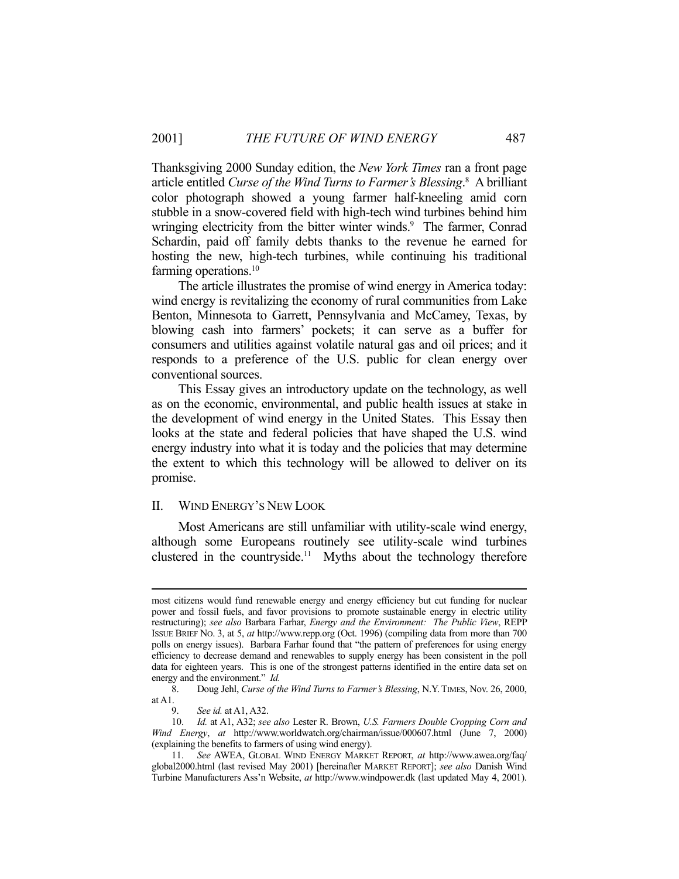Thanksgiving 2000 Sunday edition, the *New York Times* ran a front page article entitled *Curse of the Wind Turns to Farmer's Blessing*. 8 A brilliant color photograph showed a young farmer half-kneeling amid corn stubble in a snow-covered field with high-tech wind turbines behind him wringing electricity from the bitter winter winds.<sup>9</sup> The farmer, Conrad Schardin, paid off family debts thanks to the revenue he earned for hosting the new, high-tech turbines, while continuing his traditional farming operations.<sup>10</sup>

 The article illustrates the promise of wind energy in America today: wind energy is revitalizing the economy of rural communities from Lake Benton, Minnesota to Garrett, Pennsylvania and McCamey, Texas, by blowing cash into farmers' pockets; it can serve as a buffer for consumers and utilities against volatile natural gas and oil prices; and it responds to a preference of the U.S. public for clean energy over conventional sources.

 This Essay gives an introductory update on the technology, as well as on the economic, environmental, and public health issues at stake in the development of wind energy in the United States. This Essay then looks at the state and federal policies that have shaped the U.S. wind energy industry into what it is today and the policies that may determine the extent to which this technology will be allowed to deliver on its promise.

#### II. WIND ENERGY'S NEW LOOK

 Most Americans are still unfamiliar with utility-scale wind energy, although some Europeans routinely see utility-scale wind turbines clustered in the countryside.<sup>11</sup> Myths about the technology therefore

most citizens would fund renewable energy and energy efficiency but cut funding for nuclear power and fossil fuels, and favor provisions to promote sustainable energy in electric utility restructuring); *see also* Barbara Farhar, *Energy and the Environment: The Public View*, REPP ISSUE BRIEF NO. 3, at 5, *at* http://www.repp.org (Oct. 1996) (compiling data from more than 700 polls on energy issues). Barbara Farhar found that "the pattern of preferences for using energy efficiency to decrease demand and renewables to supply energy has been consistent in the poll data for eighteen years. This is one of the strongest patterns identified in the entire data set on energy and the environment." *Id.*

 <sup>8.</sup> Doug Jehl, *Curse of the Wind Turns to Farmer's Blessing*, N.Y. TIMES, Nov. 26, 2000, at A1.

 <sup>9.</sup> *See id.* at A1, A32.

 <sup>10.</sup> *Id.* at A1, A32; *see also* Lester R. Brown, *U.S. Farmers Double Cropping Corn and Wind Energy*, *at* http://www.worldwatch.org/chairman/issue/000607.html (June 7, 2000) (explaining the benefits to farmers of using wind energy).

 <sup>11.</sup> *See* AWEA, GLOBAL WIND ENERGY MARKET REPORT, *at* http://www.awea.org/faq/ global2000.html (last revised May 2001) [hereinafter MARKET REPORT]; *see also* Danish Wind Turbine Manufacturers Ass'n Website, *at* http://www.windpower.dk (last updated May 4, 2001).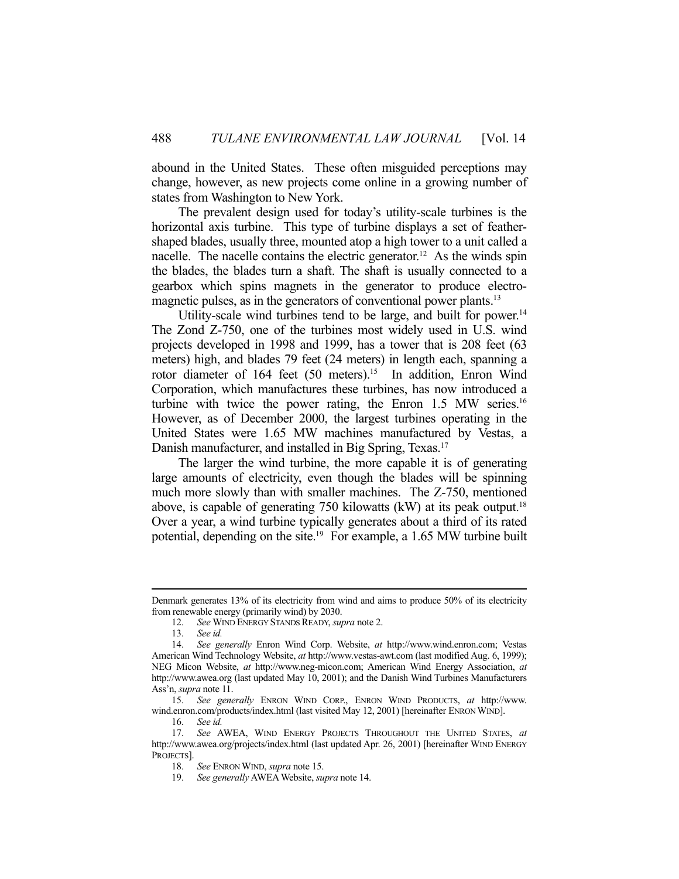abound in the United States. These often misguided perceptions may change, however, as new projects come online in a growing number of states from Washington to New York.

 The prevalent design used for today's utility-scale turbines is the horizontal axis turbine. This type of turbine displays a set of feathershaped blades, usually three, mounted atop a high tower to a unit called a nacelle. The nacelle contains the electric generator.<sup>12</sup> As the winds spin the blades, the blades turn a shaft. The shaft is usually connected to a gearbox which spins magnets in the generator to produce electromagnetic pulses, as in the generators of conventional power plants.<sup>13</sup>

Utility-scale wind turbines tend to be large, and built for power.<sup>14</sup> The Zond Z-750, one of the turbines most widely used in U.S. wind projects developed in 1998 and 1999, has a tower that is 208 feet (63 meters) high, and blades 79 feet (24 meters) in length each, spanning a rotor diameter of 164 feet (50 meters).<sup>15</sup> In addition, Enron Wind Corporation, which manufactures these turbines, has now introduced a turbine with twice the power rating, the Enron  $1.5$  MW series.<sup>16</sup> However, as of December 2000, the largest turbines operating in the United States were 1.65 MW machines manufactured by Vestas, a Danish manufacturer, and installed in Big Spring, Texas.<sup>17</sup>

 The larger the wind turbine, the more capable it is of generating large amounts of electricity, even though the blades will be spinning much more slowly than with smaller machines. The Z-750, mentioned above, is capable of generating 750 kilowatts (kW) at its peak output.<sup>18</sup> Over a year, a wind turbine typically generates about a third of its rated potential, depending on the site.<sup>19</sup> For example, a 1.65 MW turbine built

Denmark generates 13% of its electricity from wind and aims to produce 50% of its electricity from renewable energy (primarily wind) by 2030.

 <sup>12.</sup> *See* WIND ENERGY STANDS READY, *supra* note 2.

 <sup>13.</sup> *See id.*

 <sup>14.</sup> *See generally* Enron Wind Corp. Website, *at* http://www.wind.enron.com; Vestas American Wind Technology Website, *at* http://www.vestas-awt.com (last modified Aug. 6, 1999); NEG Micon Website, *at* http://www.neg-micon.com; American Wind Energy Association, *at* http://www.awea.org (last updated May 10, 2001); and the Danish Wind Turbines Manufacturers Ass'n, *supra* note 11.

 <sup>15.</sup> *See generally* ENRON WIND CORP., ENRON WIND PRODUCTS, *at* http://www. wind.enron.com/products/index.html (last visited May 12, 2001) [hereinafter ENRON WIND].

 <sup>16.</sup> *See id.*

 <sup>17.</sup> *See* AWEA, WIND ENERGY PROJECTS THROUGHOUT THE UNITED STATES, *at* http://www.awea.org/projects/index.html (last updated Apr. 26, 2001) [hereinafter WIND ENERGY PROJECTS].

 <sup>18.</sup> *See* ENRON WIND, *supra* note 15.

 <sup>19.</sup> *See generally* AWEA Website, *supra* note 14.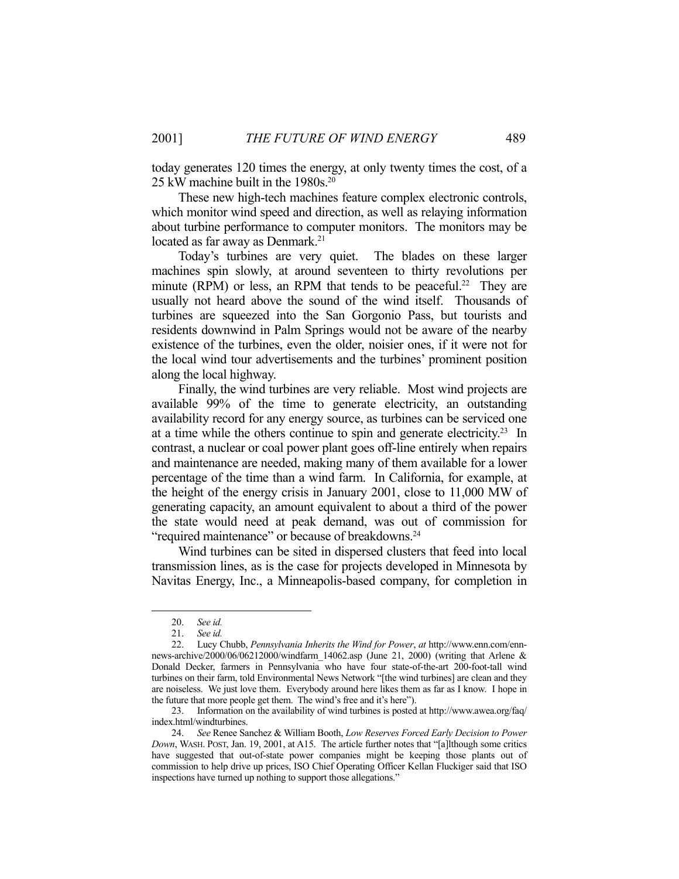today generates 120 times the energy, at only twenty times the cost, of a 25 kW machine built in the 1980s.<sup>20</sup>

 These new high-tech machines feature complex electronic controls, which monitor wind speed and direction, as well as relaying information about turbine performance to computer monitors. The monitors may be located as far away as Denmark.<sup>21</sup>

 Today's turbines are very quiet. The blades on these larger machines spin slowly, at around seventeen to thirty revolutions per minute (RPM) or less, an RPM that tends to be peaceful.<sup>22</sup> They are usually not heard above the sound of the wind itself. Thousands of turbines are squeezed into the San Gorgonio Pass, but tourists and residents downwind in Palm Springs would not be aware of the nearby existence of the turbines, even the older, noisier ones, if it were not for the local wind tour advertisements and the turbines' prominent position along the local highway.

 Finally, the wind turbines are very reliable. Most wind projects are available 99% of the time to generate electricity, an outstanding availability record for any energy source, as turbines can be serviced one at a time while the others continue to spin and generate electricity.23 In contrast, a nuclear or coal power plant goes off-line entirely when repairs and maintenance are needed, making many of them available for a lower percentage of the time than a wind farm. In California, for example, at the height of the energy crisis in January 2001, close to 11,000 MW of generating capacity, an amount equivalent to about a third of the power the state would need at peak demand, was out of commission for "required maintenance" or because of breakdowns.<sup>24</sup>

 Wind turbines can be sited in dispersed clusters that feed into local transmission lines, as is the case for projects developed in Minnesota by Navitas Energy, Inc., a Minneapolis-based company, for completion in

 <sup>20.</sup> *See id.* 

See id.

 <sup>22.</sup> Lucy Chubb, *Pennsylvania Inherits the Wind for Power*, *at* http://www.enn.com/ennnews-archive/2000/06/06212000/windfarm\_14062.asp (June 21, 2000) (writing that Arlene & Donald Decker, farmers in Pennsylvania who have four state-of-the-art 200-foot-tall wind turbines on their farm, told Environmental News Network "[the wind turbines] are clean and they are noiseless. We just love them. Everybody around here likes them as far as I know. I hope in the future that more people get them. The wind's free and it's here").

 <sup>23.</sup> Information on the availability of wind turbines is posted at http://www.awea.org/faq/ index.html/windturbines.

 <sup>24.</sup> *See* Renee Sanchez & William Booth, *Low Reserves Forced Early Decision to Power Down*, WASH. POST, Jan. 19, 2001, at A15. The article further notes that "[a]lthough some critics have suggested that out-of-state power companies might be keeping those plants out of commission to help drive up prices, ISO Chief Operating Officer Kellan Fluckiger said that ISO inspections have turned up nothing to support those allegations."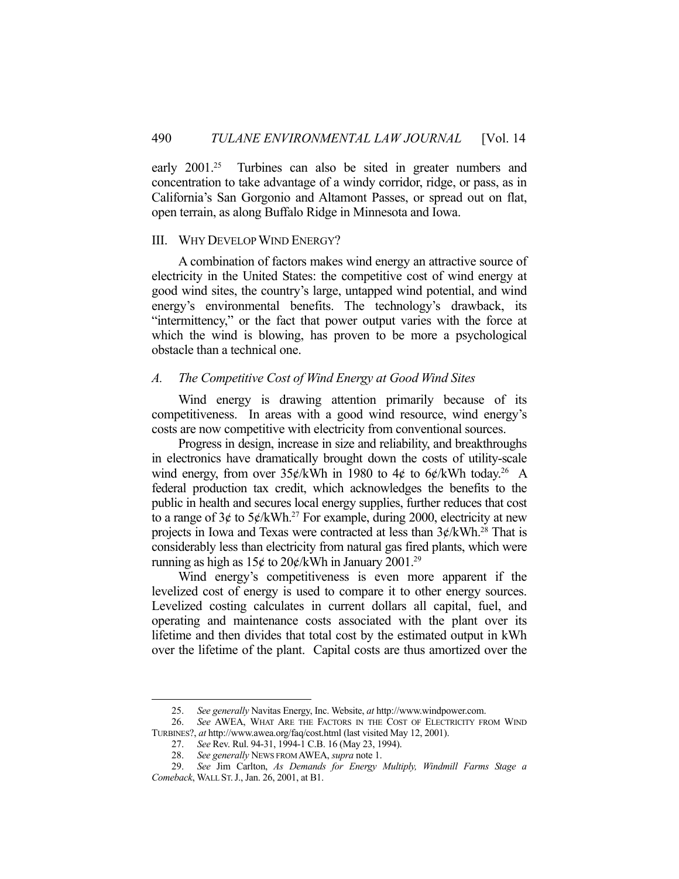early 2001<sup>25</sup> Turbines can also be sited in greater numbers and concentration to take advantage of a windy corridor, ridge, or pass, as in California's San Gorgonio and Altamont Passes, or spread out on flat, open terrain, as along Buffalo Ridge in Minnesota and Iowa.

#### III. WHY DEVELOP WIND ENERGY?

 A combination of factors makes wind energy an attractive source of electricity in the United States: the competitive cost of wind energy at good wind sites, the country's large, untapped wind potential, and wind energy's environmental benefits. The technology's drawback, its "intermittency," or the fact that power output varies with the force at which the wind is blowing, has proven to be more a psychological obstacle than a technical one.

## *A. The Competitive Cost of Wind Energy at Good Wind Sites*

 Wind energy is drawing attention primarily because of its competitiveness. In areas with a good wind resource, wind energy's costs are now competitive with electricity from conventional sources.

 Progress in design, increase in size and reliability, and breakthroughs in electronics have dramatically brought down the costs of utility-scale wind energy, from over  $35¢/kWh$  in 1980 to 4¢ to 6¢/kWh today.<sup>26</sup> A federal production tax credit, which acknowledges the benefits to the public in health and secures local energy supplies, further reduces that cost to a range of  $3¢$  to  $5¢/kWh.<sup>27</sup>$  For example, during 2000, electricity at new projects in Iowa and Texas were contracted at less than  $3¢/kWh.<sup>28</sup>$  That is considerably less than electricity from natural gas fired plants, which were running as high as  $15¢$  to  $20¢/kWh$  in January  $2001.^{29}$ 

 Wind energy's competitiveness is even more apparent if the levelized cost of energy is used to compare it to other energy sources. Levelized costing calculates in current dollars all capital, fuel, and operating and maintenance costs associated with the plant over its lifetime and then divides that total cost by the estimated output in kWh over the lifetime of the plant. Capital costs are thus amortized over the

 <sup>25.</sup> *See generally* Navitas Energy, Inc. Website, *at* http://www.windpower.com.

 <sup>26.</sup> *See* AWEA, WHAT ARE THE FACTORS IN THE COST OF ELECTRICITY FROM WIND TURBINES?, *at* http://www.awea.org/faq/cost.html (last visited May 12, 2001).

 <sup>27.</sup> *See* Rev. Rul. 94-31, 1994-1 C.B. 16 (May 23, 1994).

 <sup>28.</sup> *See generally* NEWS FROM AWEA, *supra* note 1.

 <sup>29.</sup> *See* Jim Carlton, *As Demands for Energy Multiply, Windmill Farms Stage a Comeback*, WALL ST.J., Jan. 26, 2001, at B1.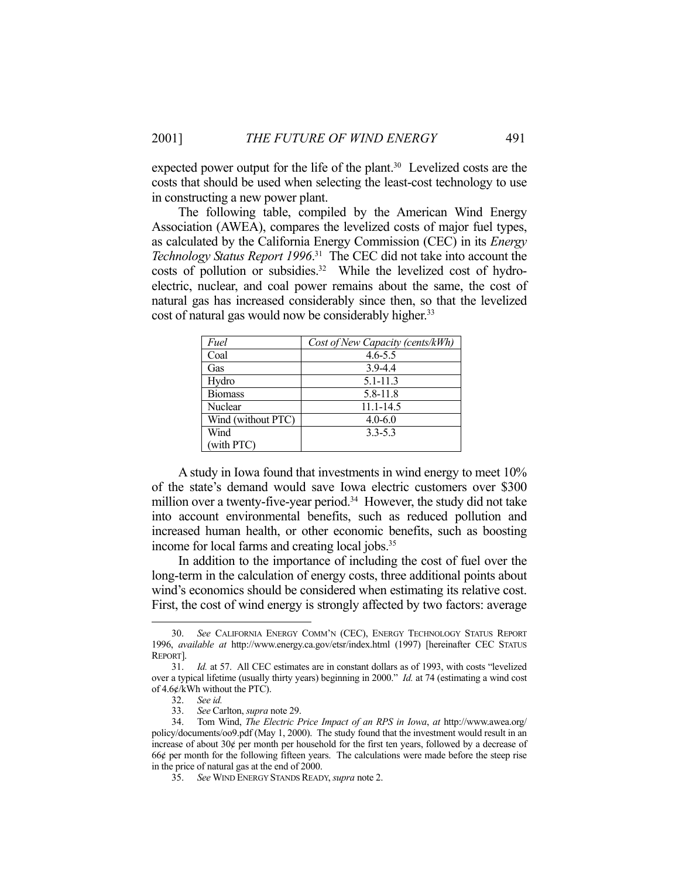expected power output for the life of the plant. $30$  Levelized costs are the costs that should be used when selecting the least-cost technology to use in constructing a new power plant.

 The following table, compiled by the American Wind Energy Association (AWEA), compares the levelized costs of major fuel types, as calculated by the California Energy Commission (CEC) in its *Energy Technology Status Report 1996*. 31 The CEC did not take into account the costs of pollution or subsidies.<sup>32</sup> While the levelized cost of hydroelectric, nuclear, and coal power remains about the same, the cost of natural gas has increased considerably since then, so that the levelized cost of natural gas would now be considerably higher.<sup>33</sup>

| Fuel               | Cost of New Capacity (cents/kWh) |
|--------------------|----------------------------------|
| Coal               | $4.6 - 5.5$                      |
| Gas                | $3.9 - 4.4$                      |
| Hydro              | $5.1 - 11.3$                     |
| <b>Biomass</b>     | 5.8-11.8                         |
| Nuclear            | $11.1 - 14.5$                    |
| Wind (without PTC) | $4.0 - 6.0$                      |
| Wind               | $3.3 - 5.3$                      |
| (with PTC)         |                                  |

 A study in Iowa found that investments in wind energy to meet 10% of the state's demand would save Iowa electric customers over \$300 million over a twenty-five-year period.<sup>34</sup> However, the study did not take into account environmental benefits, such as reduced pollution and increased human health, or other economic benefits, such as boosting income for local farms and creating local jobs.<sup>35</sup>

 In addition to the importance of including the cost of fuel over the long-term in the calculation of energy costs, three additional points about wind's economics should be considered when estimating its relative cost. First, the cost of wind energy is strongly affected by two factors: average

 <sup>30.</sup> *See* CALIFORNIA ENERGY COMM'N (CEC), ENERGY TECHNOLOGY STATUS REPORT 1996, *available at* http://www.energy.ca.gov/etsr/index.html (1997) [hereinafter CEC STATUS REPORT].

 <sup>31.</sup> *Id.* at 57. All CEC estimates are in constant dollars as of 1993, with costs "levelized over a typical lifetime (usually thirty years) beginning in 2000." *Id.* at 74 (estimating a wind cost of 4.6¢/kWh without the PTC).

 <sup>32.</sup> *See id.*

 <sup>33.</sup> *See* Carlton, *supra* note 29.

 <sup>34.</sup> Tom Wind, *The Electric Price Impact of an RPS in Iowa*, *at* http://www.awea.org/ policy/documents/oo9.pdf (May 1, 2000). The study found that the investment would result in an increase of about  $30¢$  per month per household for the first ten years, followed by a decrease of 66¢ per month for the following fifteen years. The calculations were made before the steep rise in the price of natural gas at the end of 2000.

 <sup>35.</sup> *See* WIND ENERGY STANDS READY, *supra* note 2.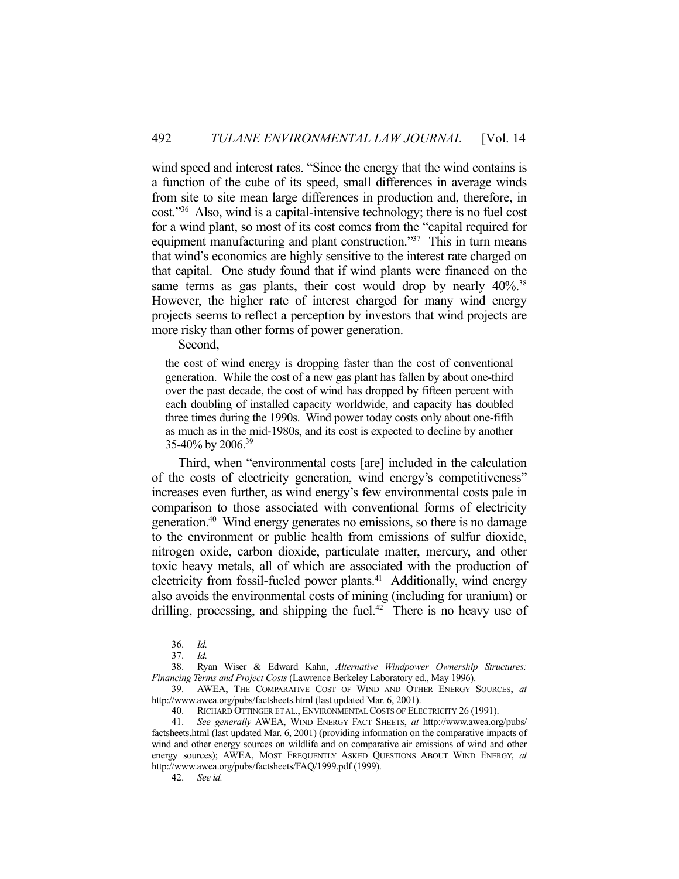wind speed and interest rates. "Since the energy that the wind contains is a function of the cube of its speed, small differences in average winds from site to site mean large differences in production and, therefore, in cost."36 Also, wind is a capital-intensive technology; there is no fuel cost for a wind plant, so most of its cost comes from the "capital required for equipment manufacturing and plant construction."<sup>37</sup> This in turn means that wind's economics are highly sensitive to the interest rate charged on that capital. One study found that if wind plants were financed on the same terms as gas plants, their cost would drop by nearly 40%.<sup>38</sup> However, the higher rate of interest charged for many wind energy projects seems to reflect a perception by investors that wind projects are more risky than other forms of power generation.

Second,

the cost of wind energy is dropping faster than the cost of conventional generation. While the cost of a new gas plant has fallen by about one-third over the past decade, the cost of wind has dropped by fifteen percent with each doubling of installed capacity worldwide, and capacity has doubled three times during the 1990s. Wind power today costs only about one-fifth as much as in the mid-1980s, and its cost is expected to decline by another 35-40% by 2006.<sup>39</sup>

 Third, when "environmental costs [are] included in the calculation of the costs of electricity generation, wind energy's competitiveness" increases even further, as wind energy's few environmental costs pale in comparison to those associated with conventional forms of electricity generation.40 Wind energy generates no emissions, so there is no damage to the environment or public health from emissions of sulfur dioxide, nitrogen oxide, carbon dioxide, particulate matter, mercury, and other toxic heavy metals, all of which are associated with the production of electricity from fossil-fueled power plants.<sup>41</sup> Additionally, wind energy also avoids the environmental costs of mining (including for uranium) or drilling, processing, and shipping the fuel.<sup>42</sup> There is no heavy use of

 <sup>36.</sup> *Id.*

 <sup>37.</sup> *Id.*

 <sup>38.</sup> Ryan Wiser & Edward Kahn, *Alternative Windpower Ownership Structures: Financing Terms and Project Costs* (Lawrence Berkeley Laboratory ed., May 1996).

 <sup>39.</sup> AWEA, THE COMPARATIVE COST OF WIND AND OTHER ENERGY SOURCES, *at* http://www.awea.org/pubs/factsheets.html (last updated Mar. 6, 2001).

 <sup>40.</sup> RICHARD OTTINGER ET AL., ENVIRONMENTAL COSTS OF ELECTRICITY 26 (1991).

 <sup>41.</sup> *See generally* AWEA, WIND ENERGY FACT SHEETS, *at* http://www.awea.org/pubs/ factsheets.html (last updated Mar. 6, 2001) (providing information on the comparative impacts of wind and other energy sources on wildlife and on comparative air emissions of wind and other energy sources); AWEA, MOST FREQUENTLY ASKED QUESTIONS ABOUT WIND ENERGY, *at* http://www.awea.org/pubs/factsheets/FAQ/1999.pdf (1999).

 <sup>42.</sup> *See id.*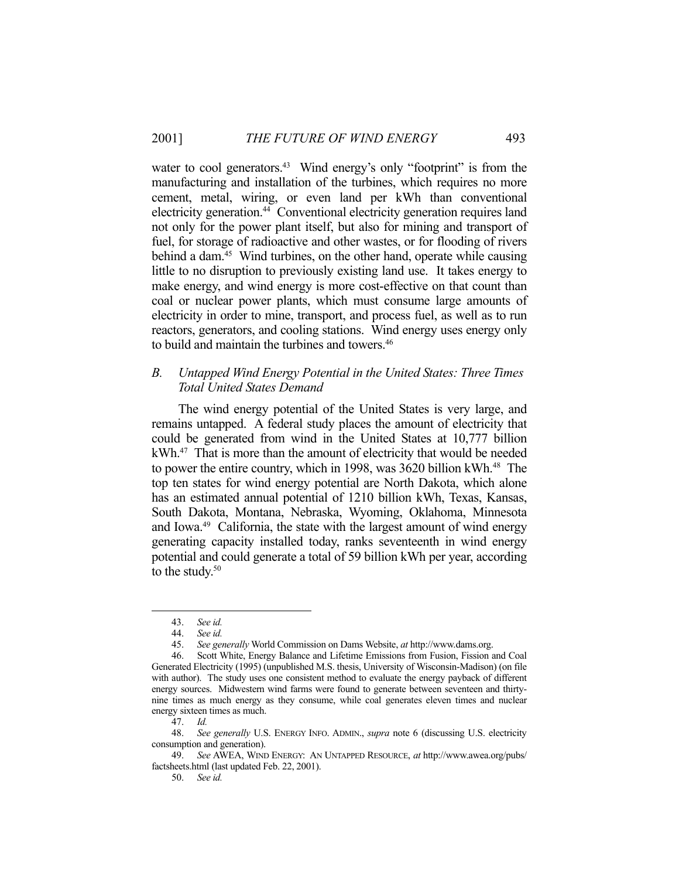water to cool generators.<sup>43</sup> Wind energy's only "footprint" is from the manufacturing and installation of the turbines, which requires no more cement, metal, wiring, or even land per kWh than conventional electricity generation.<sup>44</sup> Conventional electricity generation requires land not only for the power plant itself, but also for mining and transport of fuel, for storage of radioactive and other wastes, or for flooding of rivers behind a dam.<sup>45</sup> Wind turbines, on the other hand, operate while causing little to no disruption to previously existing land use. It takes energy to make energy, and wind energy is more cost-effective on that count than coal or nuclear power plants, which must consume large amounts of electricity in order to mine, transport, and process fuel, as well as to run reactors, generators, and cooling stations. Wind energy uses energy only to build and maintain the turbines and towers.<sup>46</sup>

# *B. Untapped Wind Energy Potential in the United States: Three Times Total United States Demand*

 The wind energy potential of the United States is very large, and remains untapped. A federal study places the amount of electricity that could be generated from wind in the United States at 10,777 billion kWh.47 That is more than the amount of electricity that would be needed to power the entire country, which in 1998, was 3620 billion kWh.<sup>48</sup> The top ten states for wind energy potential are North Dakota, which alone has an estimated annual potential of 1210 billion kWh, Texas, Kansas, South Dakota, Montana, Nebraska, Wyoming, Oklahoma, Minnesota and Iowa.<sup>49</sup> California, the state with the largest amount of wind energy generating capacity installed today, ranks seventeenth in wind energy potential and could generate a total of 59 billion kWh per year, according to the study. $50$ 

 <sup>43.</sup> *See id.*

 <sup>44.</sup> *See id.*

 <sup>45.</sup> *See generally* World Commission on Dams Website, *at* http://www.dams.org.

 <sup>46.</sup> Scott White, Energy Balance and Lifetime Emissions from Fusion, Fission and Coal Generated Electricity (1995) (unpublished M.S. thesis, University of Wisconsin-Madison) (on file with author). The study uses one consistent method to evaluate the energy payback of different energy sources. Midwestern wind farms were found to generate between seventeen and thirtynine times as much energy as they consume, while coal generates eleven times and nuclear energy sixteen times as much.

 <sup>47.</sup> *Id.*

 <sup>48.</sup> *See generally* U.S. ENERGY INFO. ADMIN., *supra* note 6 (discussing U.S. electricity consumption and generation).

 <sup>49.</sup> *See* AWEA, WIND ENERGY: AN UNTAPPED RESOURCE, *at* http://www.awea.org/pubs/ factsheets.html (last updated Feb. 22, 2001).

 <sup>50.</sup> *See id.*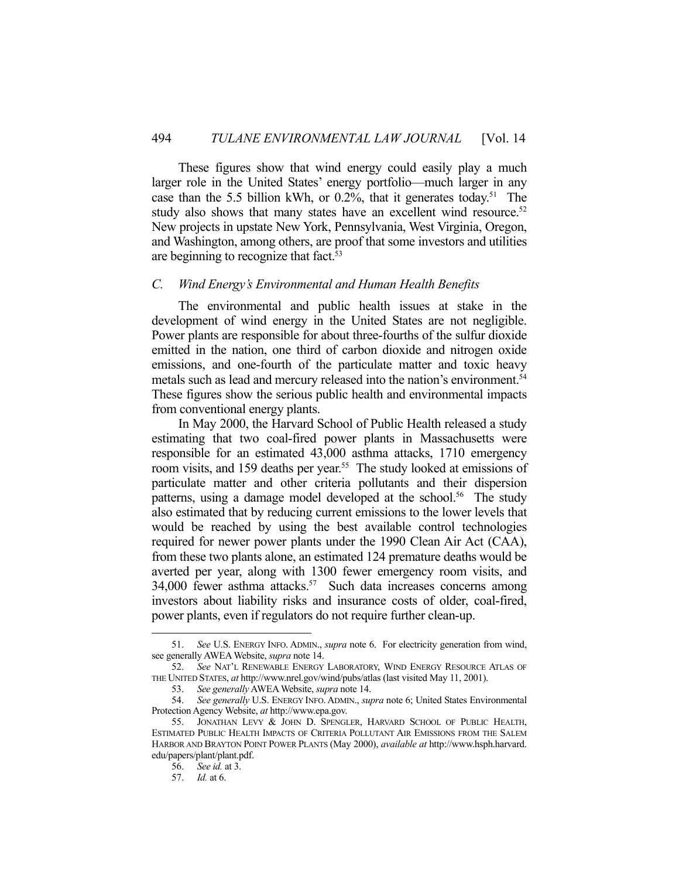These figures show that wind energy could easily play a much larger role in the United States' energy portfolio—much larger in any case than the 5.5 billion kWh, or 0.2%, that it generates today. 51 The study also shows that many states have an excellent wind resource.<sup>52</sup> New projects in upstate New York, Pennsylvania, West Virginia, Oregon, and Washington, among others, are proof that some investors and utilities are beginning to recognize that fact.<sup>53</sup>

#### *C. Wind Energy's Environmental and Human Health Benefits*

 The environmental and public health issues at stake in the development of wind energy in the United States are not negligible. Power plants are responsible for about three-fourths of the sulfur dioxide emitted in the nation, one third of carbon dioxide and nitrogen oxide emissions, and one-fourth of the particulate matter and toxic heavy metals such as lead and mercury released into the nation's environment.<sup>54</sup> These figures show the serious public health and environmental impacts from conventional energy plants.

 In May 2000, the Harvard School of Public Health released a study estimating that two coal-fired power plants in Massachusetts were responsible for an estimated 43,000 asthma attacks, 1710 emergency room visits, and 159 deaths per year.<sup>55</sup> The study looked at emissions of particulate matter and other criteria pollutants and their dispersion patterns, using a damage model developed at the school.<sup>56</sup> The study also estimated that by reducing current emissions to the lower levels that would be reached by using the best available control technologies required for newer power plants under the 1990 Clean Air Act (CAA), from these two plants alone, an estimated 124 premature deaths would be averted per year, along with 1300 fewer emergency room visits, and 34,000 fewer asthma attacks. $57$  Such data increases concerns among investors about liability risks and insurance costs of older, coal-fired, power plants, even if regulators do not require further clean-up.

 <sup>51.</sup> *See* U.S. ENERGY INFO. ADMIN., *supra* note 6. For electricity generation from wind, see generally AWEA Website, *supra* note 14.

 <sup>52.</sup> *See* NAT'L RENEWABLE ENERGY LABORATORY, WIND ENERGY RESOURCE ATLAS OF THE UNITED STATES, *at* http://www.nrel.gov/wind/pubs/atlas (last visited May 11, 2001).

 <sup>53.</sup> *See generally* AWEA Website, *supra* note 14.

 <sup>54.</sup> *See generally* U.S. ENERGY INFO. ADMIN., *supra* note 6; United States Environmental Protection Agency Website, *at* http://www.epa.gov.

 <sup>55.</sup> JONATHAN LEVY & JOHN D. SPENGLER, HARVARD SCHOOL OF PUBLIC HEALTH, ESTIMATED PUBLIC HEALTH IMPACTS OF CRITERIA POLLUTANT AIR EMISSIONS FROM THE SALEM HARBOR AND BRAYTON POINT POWER PLANTS (May 2000), *available at* http://www.hsph.harvard. edu/papers/plant/plant.pdf.

 <sup>56.</sup> *See id.* at 3.

 <sup>57.</sup> *Id.* at 6.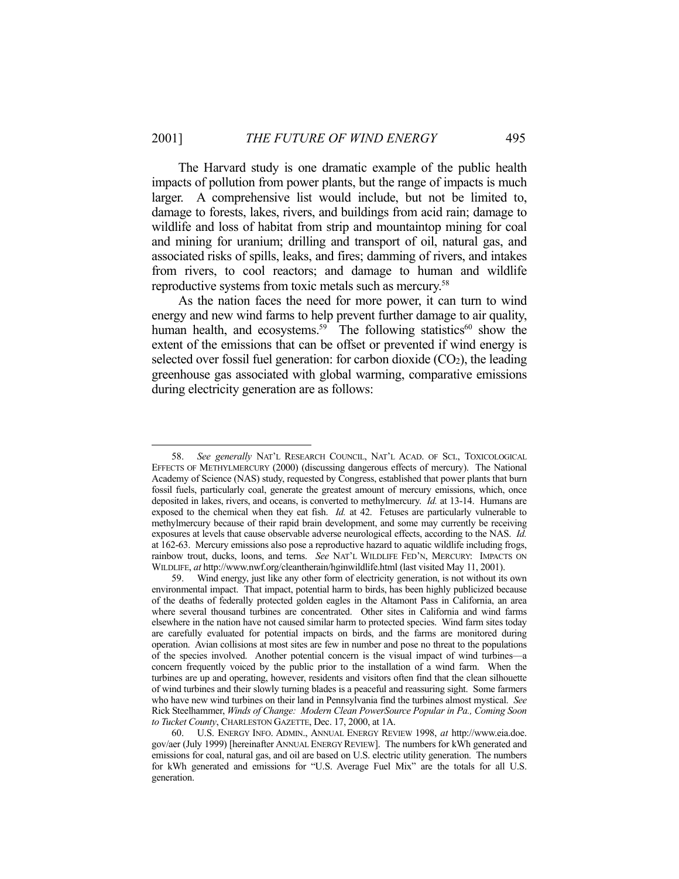The Harvard study is one dramatic example of the public health impacts of pollution from power plants, but the range of impacts is much larger. A comprehensive list would include, but not be limited to, damage to forests, lakes, rivers, and buildings from acid rain; damage to wildlife and loss of habitat from strip and mountaintop mining for coal and mining for uranium; drilling and transport of oil, natural gas, and associated risks of spills, leaks, and fires; damming of rivers, and intakes from rivers, to cool reactors; and damage to human and wildlife reproductive systems from toxic metals such as mercury.58

 As the nation faces the need for more power, it can turn to wind energy and new wind farms to help prevent further damage to air quality, human health, and ecosystems.<sup>59</sup> The following statistics<sup>60</sup> show the extent of the emissions that can be offset or prevented if wind energy is selected over fossil fuel generation: for carbon dioxide  $(CO<sub>2</sub>)$ , the leading greenhouse gas associated with global warming, comparative emissions during electricity generation are as follows:

 <sup>58.</sup> *See generally* NAT'L RESEARCH COUNCIL, NAT'L ACAD. OF SCI., TOXICOLOGICAL EFFECTS OF METHYLMERCURY (2000) (discussing dangerous effects of mercury). The National Academy of Science (NAS) study, requested by Congress, established that power plants that burn fossil fuels, particularly coal, generate the greatest amount of mercury emissions, which, once deposited in lakes, rivers, and oceans, is converted to methylmercury. *Id.* at 13-14. Humans are exposed to the chemical when they eat fish. *Id.* at 42. Fetuses are particularly vulnerable to methylmercury because of their rapid brain development, and some may currently be receiving exposures at levels that cause observable adverse neurological effects, according to the NAS. *Id.* at 162-63. Mercury emissions also pose a reproductive hazard to aquatic wildlife including frogs, rainbow trout, ducks, loons, and terns. *See* NAT'L WILDLIFE FED'N, MERCURY: IMPACTS ON WILDLIFE, *at* http://www.nwf.org/cleantherain/hginwildlife.html (last visited May 11, 2001).

 <sup>59.</sup> Wind energy, just like any other form of electricity generation, is not without its own environmental impact. That impact, potential harm to birds, has been highly publicized because of the deaths of federally protected golden eagles in the Altamont Pass in California, an area where several thousand turbines are concentrated. Other sites in California and wind farms elsewhere in the nation have not caused similar harm to protected species. Wind farm sites today are carefully evaluated for potential impacts on birds, and the farms are monitored during operation. Avian collisions at most sites are few in number and pose no threat to the populations of the species involved. Another potential concern is the visual impact of wind turbines—a concern frequently voiced by the public prior to the installation of a wind farm. When the turbines are up and operating, however, residents and visitors often find that the clean silhouette of wind turbines and their slowly turning blades is a peaceful and reassuring sight. Some farmers who have new wind turbines on their land in Pennsylvania find the turbines almost mystical. *See* Rick Steelhammer, *Winds of Change: Modern Clean PowerSource Popular in Pa., Coming Soon to Tucket County*, CHARLESTON GAZETTE, Dec. 17, 2000, at 1A.

 <sup>60.</sup> U.S. ENERGY INFO. ADMIN., ANNUAL ENERGY REVIEW 1998, *at* http://www.eia.doe. gov/aer (July 1999) [hereinafter ANNUAL ENERGY REVIEW]. The numbers for kWh generated and emissions for coal, natural gas, and oil are based on U.S. electric utility generation. The numbers for kWh generated and emissions for "U.S. Average Fuel Mix" are the totals for all U.S. generation.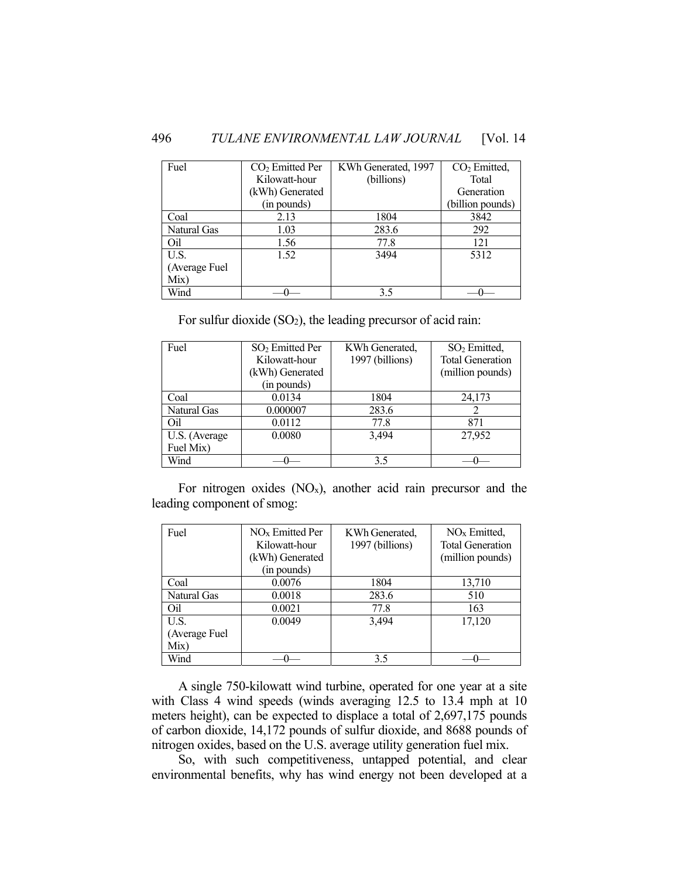| Fuel          | $CO2$ Emitted Per | KWh Generated, 1997 | CO <sub>2</sub> Emitted, |
|---------------|-------------------|---------------------|--------------------------|
|               | Kilowatt-hour     | (billions)          | Total                    |
|               | (kWh) Generated   |                     | Generation               |
|               | (in pounds)       |                     | (billion pounds)         |
| Coal          | 2.13              | 1804                | 3842                     |
| Natural Gas   | 1.03              | 283.6               | 292                      |
| Oil           | 1.56              | 77.8                | 121                      |
| U.S.          | 1.52              | 3494                | 5312                     |
| (Average Fuel |                   |                     |                          |
| Mix)          |                   |                     |                          |
| Wind          |                   | 3.5                 |                          |

For sulfur dioxide (SO2), the leading precursor of acid rain:

| Fuel          | SO <sub>2</sub> Emitted Per | KWh Generated,  | SO <sub>2</sub> Emitted, |
|---------------|-----------------------------|-----------------|--------------------------|
|               | Kilowatt-hour               | 1997 (billions) | <b>Total Generation</b>  |
|               | (kWh) Generated             |                 | (million pounds)         |
|               | (in pounds)                 |                 |                          |
| Coal          | 0.0134                      | 1804            | 24,173                   |
| Natural Gas   | 0.000007                    | 283.6           |                          |
| Oil           | 0.0112                      | 77.8            | 871                      |
| U.S. (Average | 0.0080                      | 3.494           | 27.952                   |
| Fuel Mix)     |                             |                 |                          |
| Wind          |                             | 3.5             |                          |

For nitrogen oxides  $(NO<sub>x</sub>)$ , another acid rain precursor and the leading component of smog:

| Fuel                  | NO <sub>x</sub> Emitted Per<br>Kilowatt-hour<br>(kWh) Generated<br>(in pounds) | KWh Generated,<br>1997 (billions) | NO <sub>x</sub> Emitted,<br><b>Total Generation</b><br>(million pounds) |
|-----------------------|--------------------------------------------------------------------------------|-----------------------------------|-------------------------------------------------------------------------|
| Coal                  | 0.0076                                                                         | 1804                              | 13,710                                                                  |
| Natural Gas           | 0.0018                                                                         | 283.6                             | 510                                                                     |
| Oil                   | 0.0021                                                                         | 77.8                              | 163                                                                     |
| U.S.                  | 0.0049                                                                         | 3.494                             | 17,120                                                                  |
| (Average Fuel<br>Mix) |                                                                                |                                   |                                                                         |
| Wind                  |                                                                                | 3.5                               |                                                                         |

 A single 750-kilowatt wind turbine, operated for one year at a site with Class 4 wind speeds (winds averaging 12.5 to 13.4 mph at 10 meters height), can be expected to displace a total of 2,697,175 pounds of carbon dioxide, 14,172 pounds of sulfur dioxide, and 8688 pounds of nitrogen oxides, based on the U.S. average utility generation fuel mix.

 So, with such competitiveness, untapped potential, and clear environmental benefits, why has wind energy not been developed at a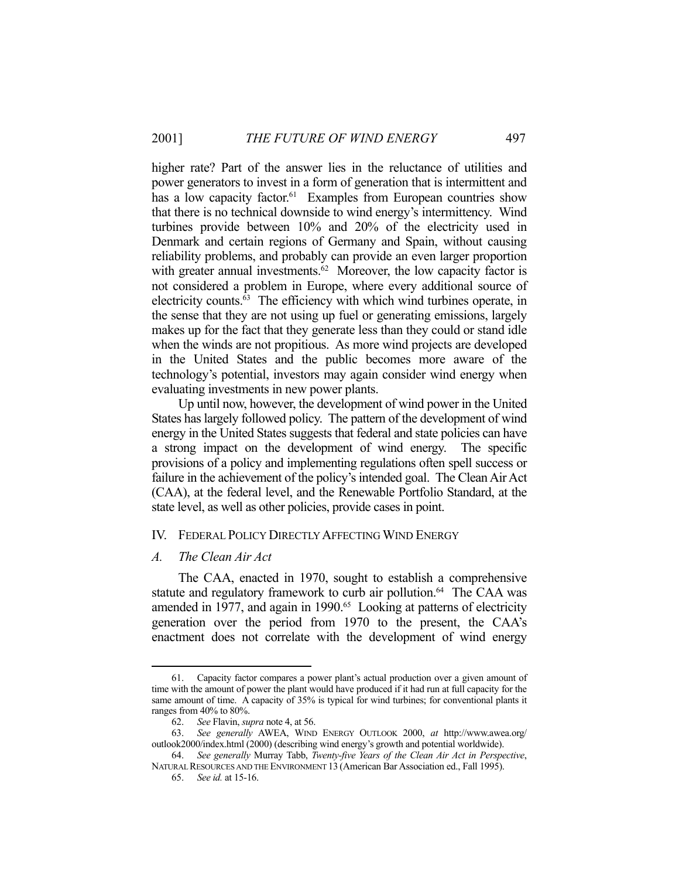higher rate? Part of the answer lies in the reluctance of utilities and power generators to invest in a form of generation that is intermittent and has a low capacity factor.<sup>61</sup> Examples from European countries show that there is no technical downside to wind energy's intermittency. Wind turbines provide between 10% and 20% of the electricity used in Denmark and certain regions of Germany and Spain, without causing reliability problems, and probably can provide an even larger proportion with greater annual investments.<sup>62</sup> Moreover, the low capacity factor is not considered a problem in Europe, where every additional source of electricity counts.<sup>63</sup> The efficiency with which wind turbines operate, in the sense that they are not using up fuel or generating emissions, largely makes up for the fact that they generate less than they could or stand idle when the winds are not propitious. As more wind projects are developed in the United States and the public becomes more aware of the technology's potential, investors may again consider wind energy when evaluating investments in new power plants.

 Up until now, however, the development of wind power in the United States has largely followed policy. The pattern of the development of wind energy in the United States suggests that federal and state policies can have a strong impact on the development of wind energy. The specific provisions of a policy and implementing regulations often spell success or failure in the achievement of the policy's intended goal. The Clean Air Act (CAA), at the federal level, and the Renewable Portfolio Standard, at the state level, as well as other policies, provide cases in point.

#### IV. FEDERAL POLICY DIRECTLY AFFECTING WIND ENERGY

#### *A. The Clean Air Act*

1

 The CAA, enacted in 1970, sought to establish a comprehensive statute and regulatory framework to curb air pollution.<sup>64</sup> The CAA was amended in 1977, and again in 1990.<sup>65</sup> Looking at patterns of electricity generation over the period from 1970 to the present, the CAA's enactment does not correlate with the development of wind energy

 <sup>61.</sup> Capacity factor compares a power plant's actual production over a given amount of time with the amount of power the plant would have produced if it had run at full capacity for the same amount of time. A capacity of 35% is typical for wind turbines; for conventional plants it ranges from 40% to 80%.

 <sup>62.</sup> *See* Flavin, *supra* note 4, at 56.

 <sup>63.</sup> *See generally* AWEA, WIND ENERGY OUTLOOK 2000, *at* http://www.awea.org/ outlook2000/index.html (2000) (describing wind energy's growth and potential worldwide).

 <sup>64.</sup> *See generally* Murray Tabb, *Twenty-five Years of the Clean Air Act in Perspective*, NATURAL RESOURCES AND THE ENVIRONMENT 13 (American Bar Association ed., Fall 1995).

 <sup>65.</sup> *See id.* at 15-16.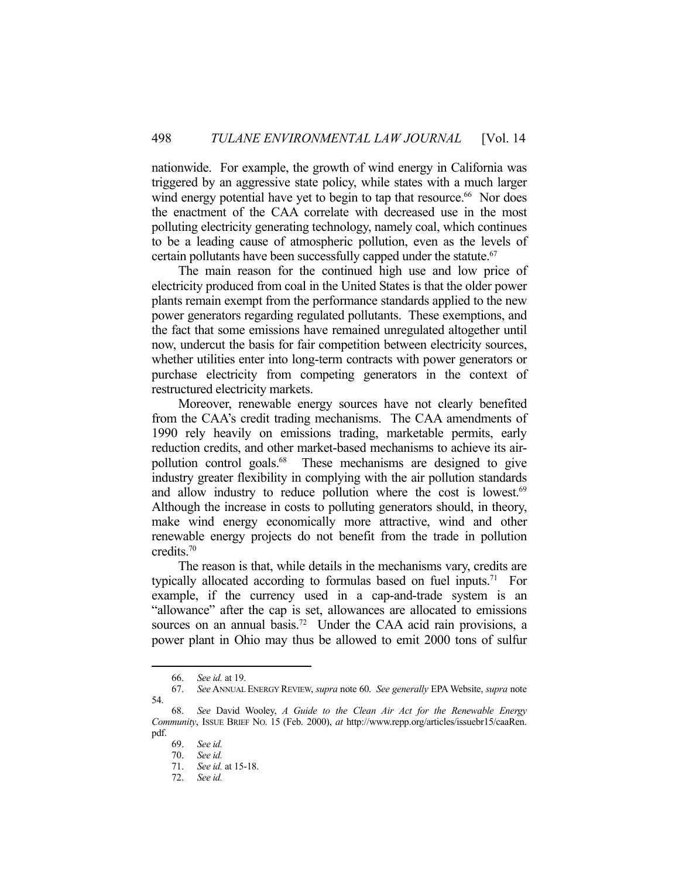nationwide. For example, the growth of wind energy in California was triggered by an aggressive state policy, while states with a much larger wind energy potential have yet to begin to tap that resource.<sup>66</sup> Nor does the enactment of the CAA correlate with decreased use in the most polluting electricity generating technology, namely coal, which continues to be a leading cause of atmospheric pollution, even as the levels of certain pollutants have been successfully capped under the statute.<sup>67</sup>

 The main reason for the continued high use and low price of electricity produced from coal in the United States is that the older power plants remain exempt from the performance standards applied to the new power generators regarding regulated pollutants. These exemptions, and the fact that some emissions have remained unregulated altogether until now, undercut the basis for fair competition between electricity sources, whether utilities enter into long-term contracts with power generators or purchase electricity from competing generators in the context of restructured electricity markets.

 Moreover, renewable energy sources have not clearly benefited from the CAA's credit trading mechanisms. The CAA amendments of 1990 rely heavily on emissions trading, marketable permits, early reduction credits, and other market-based mechanisms to achieve its airpollution control goals.<sup>68</sup> These mechanisms are designed to give industry greater flexibility in complying with the air pollution standards and allow industry to reduce pollution where the cost is lowest.<sup>69</sup> Although the increase in costs to polluting generators should, in theory, make wind energy economically more attractive, wind and other renewable energy projects do not benefit from the trade in pollution credits.70

 The reason is that, while details in the mechanisms vary, credits are typically allocated according to formulas based on fuel inputs.71 For example, if the currency used in a cap-and-trade system is an "allowance" after the cap is set, allowances are allocated to emissions sources on an annual basis.<sup>72</sup> Under the CAA acid rain provisions, a power plant in Ohio may thus be allowed to emit 2000 tons of sulfur

 <sup>66.</sup> *See id.* at 19.

 <sup>67.</sup> *See* ANNUAL ENERGY REVIEW, *supra* note 60. *See generally* EPA Website, *supra* note 54.

 <sup>68.</sup> *See* David Wooley, *A Guide to the Clean Air Act for the Renewable Energy Community*, ISSUE BRIEF NO. 15 (Feb. 2000), *at* http://www.repp.org/articles/issuebr15/caaRen. pdf.

 <sup>69.</sup> *See id.*

 <sup>70.</sup> *See id.*

 <sup>71.</sup> *See id.* at 15-18.

 <sup>72.</sup> *See id.*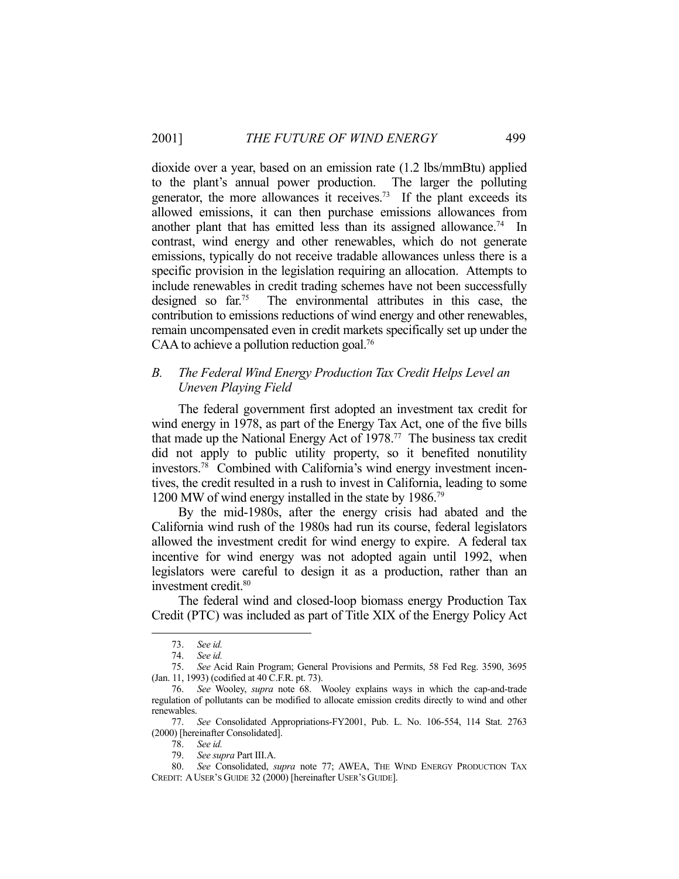dioxide over a year, based on an emission rate (1.2 lbs/mmBtu) applied to the plant's annual power production. The larger the polluting generator, the more allowances it receives.<sup>73</sup> If the plant exceeds its allowed emissions, it can then purchase emissions allowances from another plant that has emitted less than its assigned allowance. 74 In contrast, wind energy and other renewables, which do not generate emissions, typically do not receive tradable allowances unless there is a specific provision in the legislation requiring an allocation. Attempts to include renewables in credit trading schemes have not been successfully designed so far.75 The environmental attributes in this case, the contribution to emissions reductions of wind energy and other renewables, remain uncompensated even in credit markets specifically set up under the CAA to achieve a pollution reduction goal.<sup>76</sup>

# *B. The Federal Wind Energy Production Tax Credit Helps Level an Uneven Playing Field*

 The federal government first adopted an investment tax credit for wind energy in 1978, as part of the Energy Tax Act, one of the five bills that made up the National Energy Act of 1978.77 The business tax credit did not apply to public utility property, so it benefited nonutility investors.78 Combined with California's wind energy investment incentives, the credit resulted in a rush to invest in California, leading to some 1200 MW of wind energy installed in the state by 1986.<sup>79</sup>

 By the mid-1980s, after the energy crisis had abated and the California wind rush of the 1980s had run its course, federal legislators allowed the investment credit for wind energy to expire. A federal tax incentive for wind energy was not adopted again until 1992, when legislators were careful to design it as a production, rather than an investment credit.80

 The federal wind and closed-loop biomass energy Production Tax Credit (PTC) was included as part of Title XIX of the Energy Policy Act

<u>.</u>

79. *See supra* Part III.A.

 <sup>73.</sup> *See id.*

 <sup>74.</sup> *See id.*

 <sup>75.</sup> *See* Acid Rain Program; General Provisions and Permits, 58 Fed Reg. 3590, 3695 (Jan. 11, 1993) (codified at 40 C.F.R. pt. 73).

 <sup>76.</sup> *See* Wooley, *supra* note 68. Wooley explains ways in which the cap-and-trade regulation of pollutants can be modified to allocate emission credits directly to wind and other renewables.

 <sup>77.</sup> *See* Consolidated Appropriations-FY2001, Pub. L. No. 106-554, 114 Stat. 2763 (2000) [hereinafter Consolidated].

 <sup>78.</sup> *See id.*

 <sup>80.</sup> *See* Consolidated, *supra* note 77; AWEA, THE WIND ENERGY PRODUCTION TAX CREDIT: AUSER'S GUIDE 32 (2000) [hereinafter USER'S GUIDE].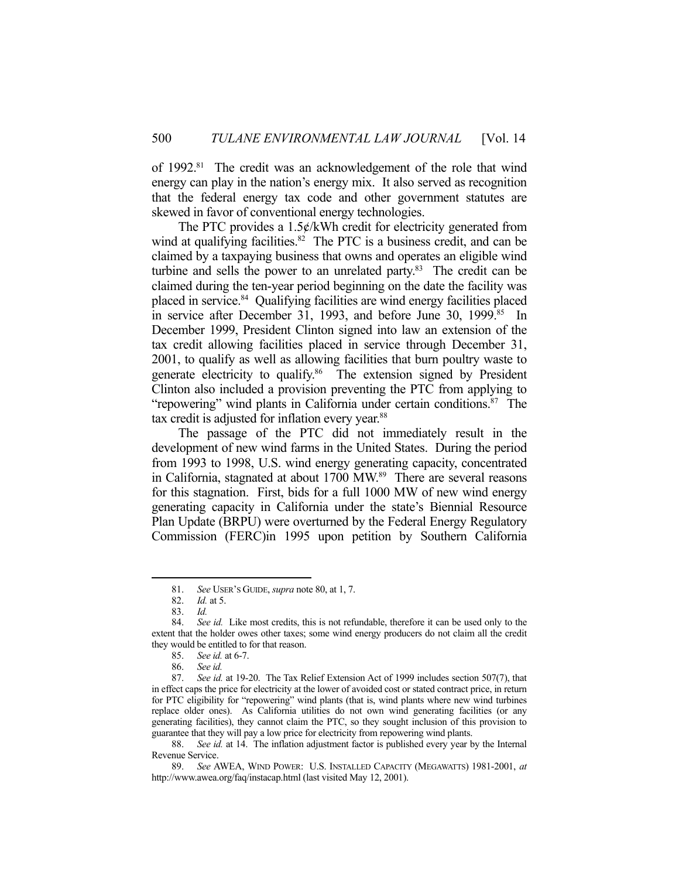of 1992.<sup>81</sup> The credit was an acknowledgement of the role that wind energy can play in the nation's energy mix. It also served as recognition that the federal energy tax code and other government statutes are skewed in favor of conventional energy technologies.

The PTC provides a  $1.5¢/kWh$  credit for electricity generated from wind at qualifying facilities. $82$  The PTC is a business credit, and can be claimed by a taxpaying business that owns and operates an eligible wind turbine and sells the power to an unrelated party. $83$  The credit can be claimed during the ten-year period beginning on the date the facility was placed in service.84 Qualifying facilities are wind energy facilities placed in service after December 31, 1993, and before June 30, 1999.<sup>85</sup> In December 1999, President Clinton signed into law an extension of the tax credit allowing facilities placed in service through December 31, 2001, to qualify as well as allowing facilities that burn poultry waste to generate electricity to qualify.<sup>86</sup> The extension signed by President Clinton also included a provision preventing the PTC from applying to "repowering" wind plants in California under certain conditions.<sup>87</sup> The tax credit is adjusted for inflation every year.<sup>88</sup>

 The passage of the PTC did not immediately result in the development of new wind farms in the United States. During the period from 1993 to 1998, U.S. wind energy generating capacity, concentrated in California, stagnated at about 1700 MW.<sup>89</sup> There are several reasons for this stagnation. First, bids for a full 1000 MW of new wind energy generating capacity in California under the state's Biennial Resource Plan Update (BRPU) were overturned by the Federal Energy Regulatory Commission (FERC)in 1995 upon petition by Southern California

 <sup>81.</sup> *See* USER'S GUIDE, *supra* note 80, at 1, 7.

 <sup>82.</sup> *Id.* at 5.

 <sup>83.</sup> *Id.*

 <sup>84.</sup> *See id.* Like most credits, this is not refundable, therefore it can be used only to the extent that the holder owes other taxes; some wind energy producers do not claim all the credit they would be entitled to for that reason.

 <sup>85.</sup> *See id.* at 6-7.

 <sup>86.</sup> *See id.*

 <sup>87.</sup> *See id.* at 19-20. The Tax Relief Extension Act of 1999 includes section 507(7), that in effect caps the price for electricity at the lower of avoided cost or stated contract price, in return for PTC eligibility for "repowering" wind plants (that is, wind plants where new wind turbines replace older ones). As California utilities do not own wind generating facilities (or any generating facilities), they cannot claim the PTC, so they sought inclusion of this provision to guarantee that they will pay a low price for electricity from repowering wind plants.

 <sup>88.</sup> *See id.* at 14. The inflation adjustment factor is published every year by the Internal Revenue Service.

 <sup>89.</sup> *See* AWEA, WIND POWER: U.S. INSTALLED CAPACITY (MEGAWATTS) 1981-2001, *at* http://www.awea.org/faq/instacap.html (last visited May 12, 2001).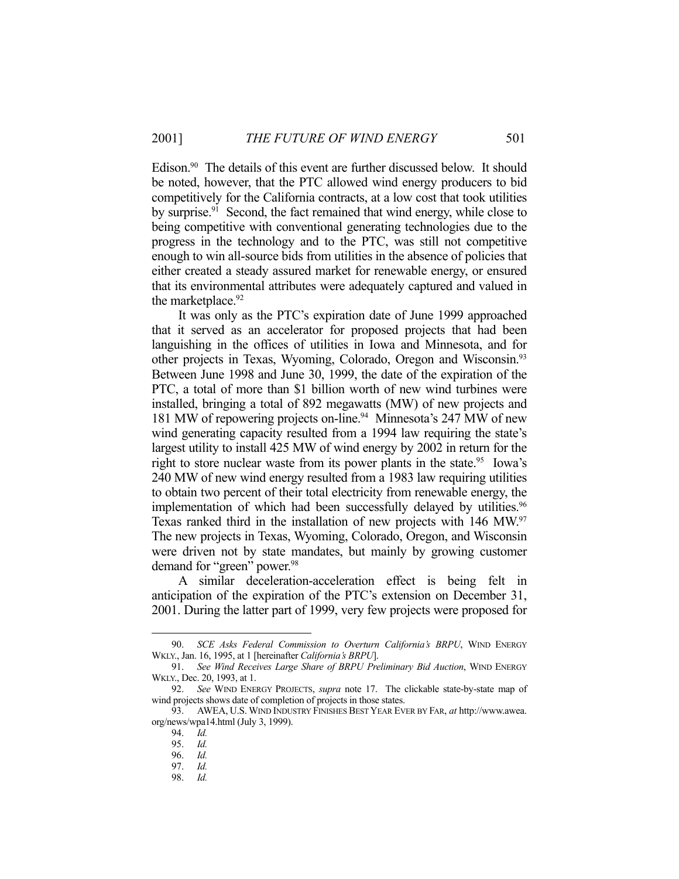Edison.<sup>90</sup> The details of this event are further discussed below. It should be noted, however, that the PTC allowed wind energy producers to bid competitively for the California contracts, at a low cost that took utilities by surprise.<sup>91</sup> Second, the fact remained that wind energy, while close to being competitive with conventional generating technologies due to the progress in the technology and to the PTC, was still not competitive enough to win all-source bids from utilities in the absence of policies that either created a steady assured market for renewable energy, or ensured that its environmental attributes were adequately captured and valued in the marketplace.<sup>92</sup>

 It was only as the PTC's expiration date of June 1999 approached that it served as an accelerator for proposed projects that had been languishing in the offices of utilities in Iowa and Minnesota, and for other projects in Texas, Wyoming, Colorado, Oregon and Wisconsin.93 Between June 1998 and June 30, 1999, the date of the expiration of the PTC, a total of more than \$1 billion worth of new wind turbines were installed, bringing a total of 892 megawatts (MW) of new projects and 181 MW of repowering projects on-line.<sup>94</sup> Minnesota's 247 MW of new wind generating capacity resulted from a 1994 law requiring the state's largest utility to install 425 MW of wind energy by 2002 in return for the right to store nuclear waste from its power plants in the state.<sup>95</sup> Iowa's 240 MW of new wind energy resulted from a 1983 law requiring utilities to obtain two percent of their total electricity from renewable energy, the implementation of which had been successfully delayed by utilities.<sup>96</sup> Texas ranked third in the installation of new projects with 146 MW.97 The new projects in Texas, Wyoming, Colorado, Oregon, and Wisconsin were driven not by state mandates, but mainly by growing customer demand for "green" power.98

 A similar deceleration-acceleration effect is being felt in anticipation of the expiration of the PTC's extension on December 31, 2001. During the latter part of 1999, very few projects were proposed for

 <sup>90.</sup> *SCE Asks Federal Commission to Overturn California's BRPU*, WIND ENERGY WKLY., Jan. 16, 1995, at 1 [hereinafter *California's BRPU*].

 <sup>91.</sup> *See Wind Receives Large Share of BRPU Preliminary Bid Auction*, WIND ENERGY WKLY., Dec. 20, 1993, at 1.

 <sup>92.</sup> *See* WIND ENERGY PROJECTS, *supra* note 17. The clickable state-by-state map of wind projects shows date of completion of projects in those states.

 <sup>93.</sup> AWEA, U.S. WIND INDUSTRY FINISHES BEST YEAR EVER BY FAR, *at* http://www.awea. org/news/wpa14.html (July 3, 1999).

 <sup>94.</sup> *Id.*

 <sup>95.</sup> *Id.*

 <sup>96.</sup> *Id.* 97. *Id.*

 <sup>98.</sup> *Id.*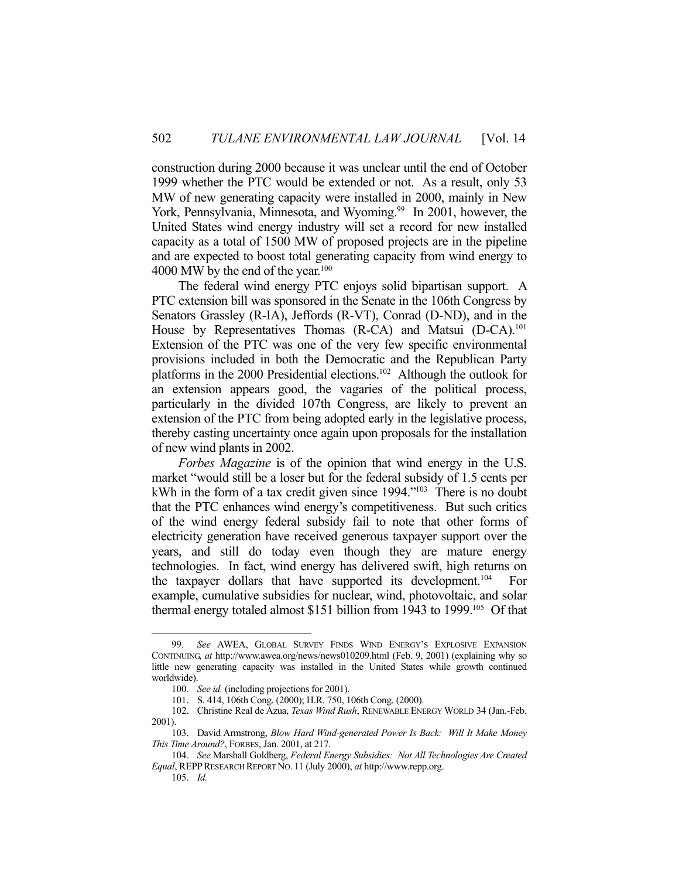construction during 2000 because it was unclear until the end of October 1999 whether the PTC would be extended or not. As a result, only 53 MW of new generating capacity were installed in 2000, mainly in New York, Pennsylvania, Minnesota, and Wyoming.<sup>99</sup> In 2001, however, the United States wind energy industry will set a record for new installed capacity as a total of 1500 MW of proposed projects are in the pipeline and are expected to boost total generating capacity from wind energy to 4000 MW by the end of the year.<sup>100</sup>

 The federal wind energy PTC enjoys solid bipartisan support. A PTC extension bill was sponsored in the Senate in the 106th Congress by Senators Grassley (R-IA), Jeffords (R-VT), Conrad (D-ND), and in the House by Representatives Thomas (R-CA) and Matsui (D-CA).<sup>101</sup> Extension of the PTC was one of the very few specific environmental provisions included in both the Democratic and the Republican Party platforms in the 2000 Presidential elections.<sup>102</sup> Although the outlook for an extension appears good, the vagaries of the political process, particularly in the divided 107th Congress, are likely to prevent an extension of the PTC from being adopted early in the legislative process, thereby casting uncertainty once again upon proposals for the installation of new wind plants in 2002.

*Forbes Magazine* is of the opinion that wind energy in the U.S. market "would still be a loser but for the federal subsidy of 1.5 cents per kWh in the form of a tax credit given since 1994."<sup>103</sup> There is no doubt that the PTC enhances wind energy's competitiveness. But such critics of the wind energy federal subsidy fail to note that other forms of electricity generation have received generous taxpayer support over the years, and still do today even though they are mature energy technologies. In fact, wind energy has delivered swift, high returns on the taxpayer dollars that have supported its development.104 For example, cumulative subsidies for nuclear, wind, photovoltaic, and solar thermal energy totaled almost \$151 billion from 1943 to 1999.<sup>105</sup> Of that

 <sup>99.</sup> *See* AWEA, GLOBAL SURVEY FINDS WIND ENERGY'S EXPLOSIVE EXPANSION CONTINUING, *at* http://www.awea.org/news/news010209.html (Feb. 9, 2001) (explaining why so little new generating capacity was installed in the United States while growth continued worldwide).

 <sup>100.</sup> *See id.* (including projections for 2001).

 <sup>101.</sup> S. 414, 106th Cong. (2000); H.R. 750, 106th Cong. (2000).

 <sup>102.</sup> Christine Real de Azua, *Texas Wind Rush*, RENEWABLE ENERGY WORLD 34 (Jan.-Feb. 2001).

 <sup>103.</sup> David Armstrong, *Blow Hard Wind-generated Power Is Back: Will It Make Money This Time Around?*, FORBES, Jan. 2001, at 217.

 <sup>104.</sup> *See* Marshall Goldberg, *Federal Energy Subsidies: Not All Technologies Are Created Equal*, REPPRESEARCH REPORT NO. 11 (July 2000), *at* http://www.repp.org.

 <sup>105.</sup> *Id.*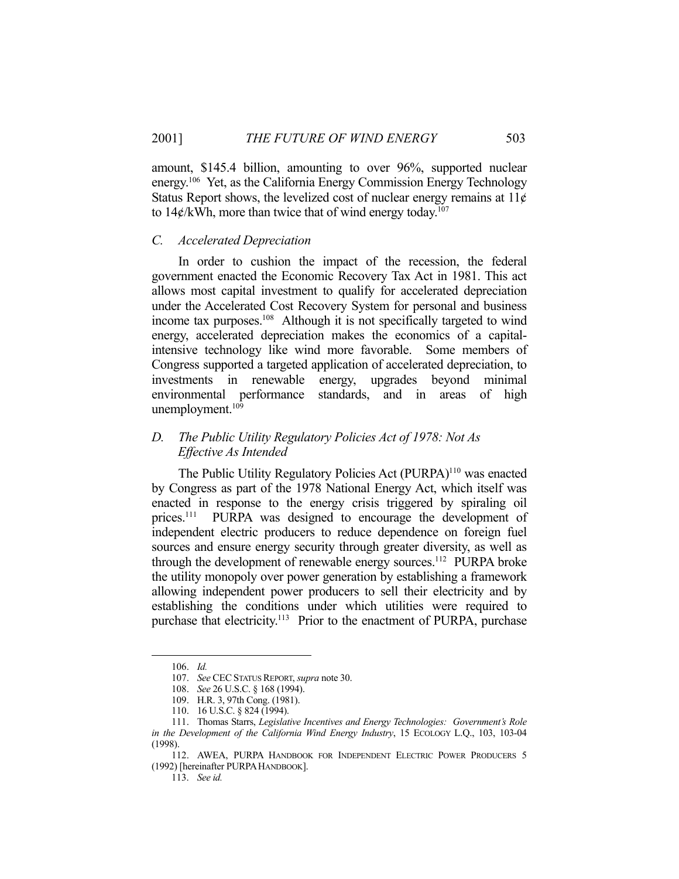amount, \$145.4 billion, amounting to over 96%, supported nuclear energy.106 Yet, as the California Energy Commission Energy Technology Status Report shows, the levelized cost of nuclear energy remains at  $11¢$ to  $14\frac{\mathrm{d}}{\mathrm{d}x}$  (KWh, more than twice that of wind energy today.<sup>107</sup>

#### *C. Accelerated Depreciation*

 In order to cushion the impact of the recession, the federal government enacted the Economic Recovery Tax Act in 1981. This act allows most capital investment to qualify for accelerated depreciation under the Accelerated Cost Recovery System for personal and business income tax purposes.108 Although it is not specifically targeted to wind energy, accelerated depreciation makes the economics of a capitalintensive technology like wind more favorable. Some members of Congress supported a targeted application of accelerated depreciation, to investments in renewable energy, upgrades beyond minimal environmental performance standards, and in areas of high unemployment.<sup>109</sup>

# *D. The Public Utility Regulatory Policies Act of 1978: Not As Effective As Intended*

The Public Utility Regulatory Policies Act (PURPA)<sup>110</sup> was enacted by Congress as part of the 1978 National Energy Act, which itself was enacted in response to the energy crisis triggered by spiraling oil prices.<sup>111</sup> PURPA was designed to encourage the development of independent electric producers to reduce dependence on foreign fuel sources and ensure energy security through greater diversity, as well as through the development of renewable energy sources.<sup>112</sup> PURPA broke the utility monopoly over power generation by establishing a framework allowing independent power producers to sell their electricity and by establishing the conditions under which utilities were required to purchase that electricity.<sup>113</sup> Prior to the enactment of PURPA, purchase

 <sup>106.</sup> *Id.*

 <sup>107.</sup> *See* CECSTATUS REPORT, *supra* note 30.

 <sup>108.</sup> *See* 26 U.S.C. § 168 (1994).

 <sup>109.</sup> H.R. 3, 97th Cong. (1981).

 <sup>110. 16</sup> U.S.C. § 824 (1994).

 <sup>111.</sup> Thomas Starrs, *Legislative Incentives and Energy Technologies: Government's Role in the Development of the California Wind Energy Industry*, 15 ECOLOGY L.Q., 103, 103-04 (1998).

 <sup>112.</sup> AWEA, PURPA HANDBOOK FOR INDEPENDENT ELECTRIC POWER PRODUCERS 5 (1992) [hereinafter PURPAHANDBOOK].

 <sup>113.</sup> *See id.*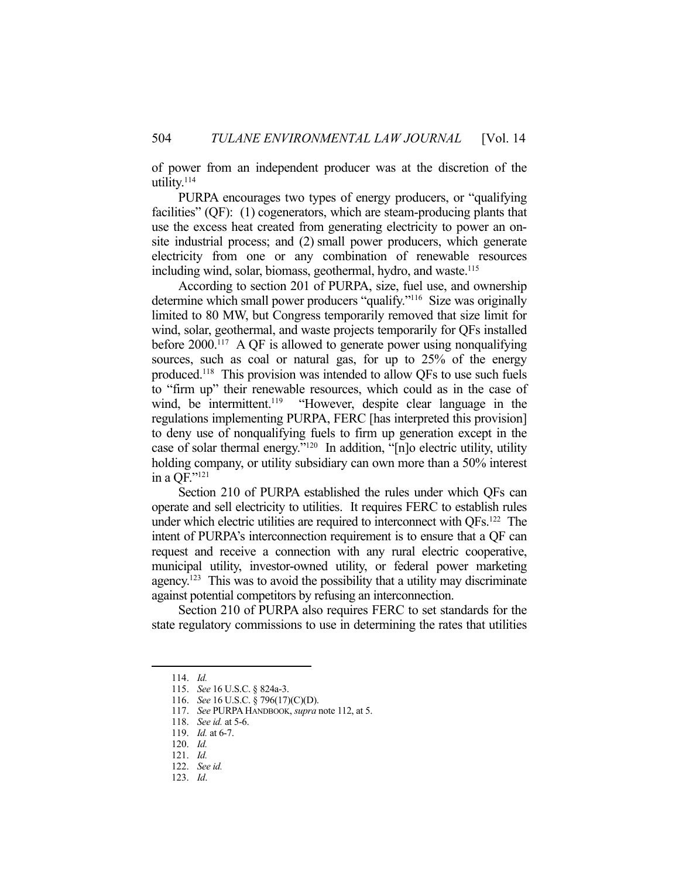of power from an independent producer was at the discretion of the utility.114

 PURPA encourages two types of energy producers, or "qualifying facilities" (QF): (1) cogenerators, which are steam-producing plants that use the excess heat created from generating electricity to power an onsite industrial process; and (2) small power producers, which generate electricity from one or any combination of renewable resources including wind, solar, biomass, geothermal, hydro, and waste.<sup>115</sup>

 According to section 201 of PURPA, size, fuel use, and ownership determine which small power producers "qualify."116 Size was originally limited to 80 MW, but Congress temporarily removed that size limit for wind, solar, geothermal, and waste projects temporarily for QFs installed before  $2000$ .<sup>117</sup> A QF is allowed to generate power using nonqualifying sources, such as coal or natural gas, for up to 25% of the energy produced.118 This provision was intended to allow QFs to use such fuels to "firm up" their renewable resources, which could as in the case of wind, be intermittent.<sup>119</sup> "However, despite clear language in the regulations implementing PURPA, FERC [has interpreted this provision] to deny use of nonqualifying fuels to firm up generation except in the case of solar thermal energy."120 In addition, "[n]o electric utility, utility holding company, or utility subsidiary can own more than a 50% interest in a QF."121

 Section 210 of PURPA established the rules under which QFs can operate and sell electricity to utilities. It requires FERC to establish rules under which electric utilities are required to interconnect with QFs.<sup>122</sup> The intent of PURPA's interconnection requirement is to ensure that a QF can request and receive a connection with any rural electric cooperative, municipal utility, investor-owned utility, or federal power marketing agency.<sup>123</sup> This was to avoid the possibility that a utility may discriminate against potential competitors by refusing an interconnection.

 Section 210 of PURPA also requires FERC to set standards for the state regulatory commissions to use in determining the rates that utilities

 <sup>114.</sup> *Id.*

 <sup>115.</sup> *See* 16 U.S.C. § 824a-3.

 <sup>116.</sup> *See* 16 U.S.C. § 796(17)(C)(D).

 <sup>117.</sup> *See* PURPA HANDBOOK, *supra* note 112, at 5.

 <sup>118.</sup> *See id.* at 5-6.

 <sup>119.</sup> *Id.* at 6-7.

 <sup>120.</sup> *Id.*

 <sup>121.</sup> *Id.*

 <sup>122.</sup> *See id.*

 <sup>123.</sup> *Id*.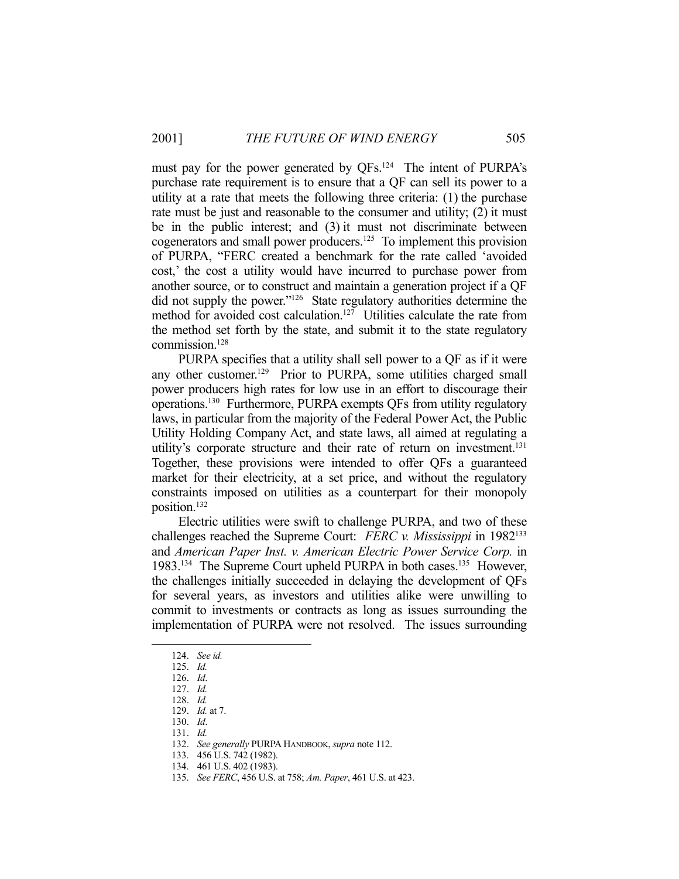must pay for the power generated by QFs.<sup>124</sup> The intent of PURPA's purchase rate requirement is to ensure that a QF can sell its power to a utility at a rate that meets the following three criteria: (1) the purchase rate must be just and reasonable to the consumer and utility; (2) it must be in the public interest; and (3) it must not discriminate between cogenerators and small power producers.125 To implement this provision of PURPA, "FERC created a benchmark for the rate called 'avoided cost,' the cost a utility would have incurred to purchase power from another source, or to construct and maintain a generation project if a QF did not supply the power."<sup>126</sup> State regulatory authorities determine the method for avoided cost calculation.<sup>127</sup> Utilities calculate the rate from the method set forth by the state, and submit it to the state regulatory commission.128

 PURPA specifies that a utility shall sell power to a QF as if it were any other customer.129 Prior to PURPA, some utilities charged small power producers high rates for low use in an effort to discourage their operations.130 Furthermore, PURPA exempts QFs from utility regulatory laws, in particular from the majority of the Federal Power Act, the Public Utility Holding Company Act, and state laws, all aimed at regulating a utility's corporate structure and their rate of return on investment.<sup>131</sup> Together, these provisions were intended to offer QFs a guaranteed market for their electricity, at a set price, and without the regulatory constraints imposed on utilities as a counterpart for their monopoly position.132

 Electric utilities were swift to challenge PURPA, and two of these challenges reached the Supreme Court: *FERC v. Mississippi* in 1982133 and *American Paper Inst. v. American Electric Power Service Corp.* in 1983.134 The Supreme Court upheld PURPA in both cases.135 However, the challenges initially succeeded in delaying the development of QFs for several years, as investors and utilities alike were unwilling to commit to investments or contracts as long as issues surrounding the implementation of PURPA were not resolved. The issues surrounding

 <sup>124.</sup> *See id.*

 <sup>125.</sup> *Id.*

 <sup>126.</sup> *Id*. 127. *Id.*

 <sup>128.</sup> *Id.*

 <sup>129.</sup> *Id.* at 7.

 <sup>130.</sup> *Id*.

 <sup>131.</sup> *Id.*

 <sup>132.</sup> *See generally* PURPA HANDBOOK, *supra* note 112.

 <sup>133. 456</sup> U.S. 742 (1982).

 <sup>134. 461</sup> U.S. 402 (1983).

 <sup>135.</sup> *See FERC*, 456 U.S. at 758; *Am. Paper*, 461 U.S. at 423.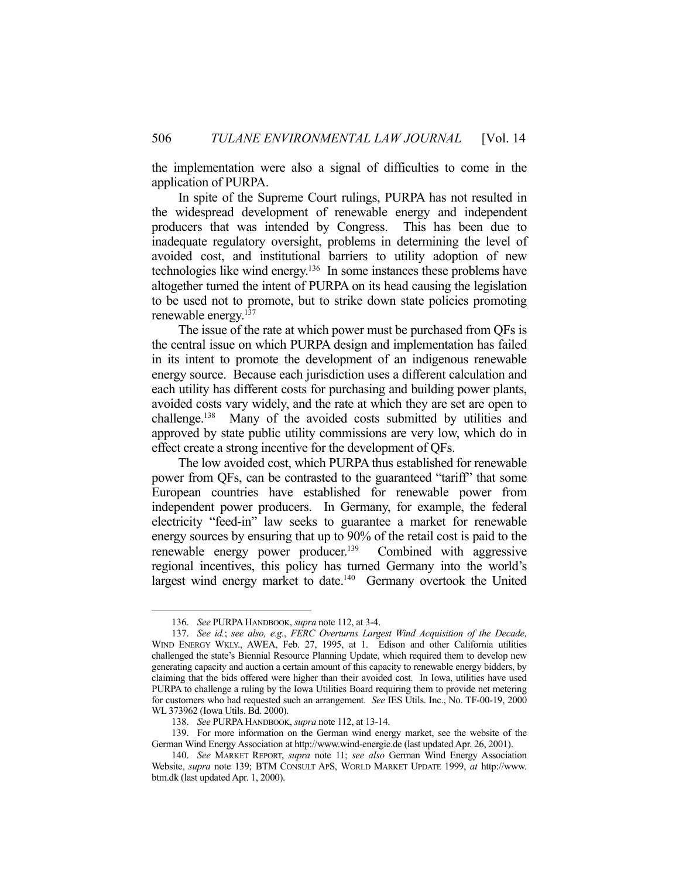the implementation were also a signal of difficulties to come in the application of PURPA.

 In spite of the Supreme Court rulings, PURPA has not resulted in the widespread development of renewable energy and independent producers that was intended by Congress. This has been due to inadequate regulatory oversight, problems in determining the level of avoided cost, and institutional barriers to utility adoption of new technologies like wind energy.136 In some instances these problems have altogether turned the intent of PURPA on its head causing the legislation to be used not to promote, but to strike down state policies promoting renewable energy.137

 The issue of the rate at which power must be purchased from QFs is the central issue on which PURPA design and implementation has failed in its intent to promote the development of an indigenous renewable energy source. Because each jurisdiction uses a different calculation and each utility has different costs for purchasing and building power plants, avoided costs vary widely, and the rate at which they are set are open to challenge.138 Many of the avoided costs submitted by utilities and approved by state public utility commissions are very low, which do in effect create a strong incentive for the development of QFs.

 The low avoided cost, which PURPA thus established for renewable power from QFs, can be contrasted to the guaranteed "tariff" that some European countries have established for renewable power from independent power producers. In Germany, for example, the federal electricity "feed-in" law seeks to guarantee a market for renewable energy sources by ensuring that up to 90% of the retail cost is paid to the renewable energy power producer.<sup>139</sup> Combined with aggressive regional incentives, this policy has turned Germany into the world's largest wind energy market to date.<sup>140</sup> Germany overtook the United

 <sup>136.</sup> *See* PURPA HANDBOOK, *supra* note 112, at 3-4.

 <sup>137.</sup> *See id.*; *see also, e.g.*, *FERC Overturns Largest Wind Acquisition of the Decade*, WIND ENERGY WKLY., AWEA, Feb. 27, 1995, at 1. Edison and other California utilities challenged the state's Biennial Resource Planning Update, which required them to develop new generating capacity and auction a certain amount of this capacity to renewable energy bidders, by claiming that the bids offered were higher than their avoided cost. In Iowa, utilities have used PURPA to challenge a ruling by the Iowa Utilities Board requiring them to provide net metering for customers who had requested such an arrangement. *See* IES Utils. Inc., No. TF-00-19, 2000 WL 373962 (Iowa Utils. Bd. 2000).

 <sup>138.</sup> *See* PURPA HANDBOOK, *supra* note 112, at 13-14.

 <sup>139.</sup> For more information on the German wind energy market, see the website of the German Wind Energy Association at http://www.wind-energie.de (last updated Apr. 26, 2001).

 <sup>140.</sup> *See* MARKET REPORT, *supra* note 11; *see also* German Wind Energy Association Website, *supra* note 139; BTM CONSULT APS, WORLD MARKET UPDATE 1999, *at* http://www. btm.dk (last updated Apr. 1, 2000).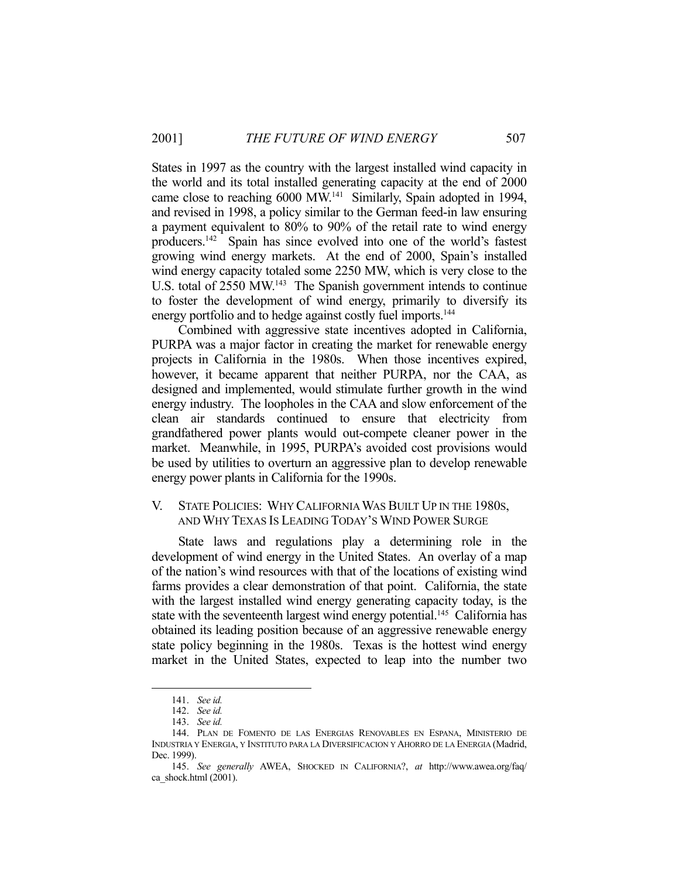States in 1997 as the country with the largest installed wind capacity in the world and its total installed generating capacity at the end of 2000 came close to reaching 6000 MW.141 Similarly, Spain adopted in 1994, and revised in 1998, a policy similar to the German feed-in law ensuring a payment equivalent to 80% to 90% of the retail rate to wind energy producers.142 Spain has since evolved into one of the world's fastest growing wind energy markets. At the end of 2000, Spain's installed wind energy capacity totaled some 2250 MW, which is very close to the U.S. total of 2550 MW.<sup>143</sup> The Spanish government intends to continue to foster the development of wind energy, primarily to diversify its energy portfolio and to hedge against costly fuel imports.<sup>144</sup>

 Combined with aggressive state incentives adopted in California, PURPA was a major factor in creating the market for renewable energy projects in California in the 1980s. When those incentives expired, however, it became apparent that neither PURPA, nor the CAA, as designed and implemented, would stimulate further growth in the wind energy industry. The loopholes in the CAA and slow enforcement of the clean air standards continued to ensure that electricity from grandfathered power plants would out-compete cleaner power in the market. Meanwhile, in 1995, PURPA's avoided cost provisions would be used by utilities to overturn an aggressive plan to develop renewable energy power plants in California for the 1990s.

#### V. STATE POLICIES: WHY CALIFORNIA WAS BUILT UP IN THE 1980S, AND WHY TEXAS IS LEADING TODAY'S WIND POWER SURGE

 State laws and regulations play a determining role in the development of wind energy in the United States. An overlay of a map of the nation's wind resources with that of the locations of existing wind farms provides a clear demonstration of that point. California, the state with the largest installed wind energy generating capacity today, is the state with the seventeenth largest wind energy potential.<sup>145</sup> California has obtained its leading position because of an aggressive renewable energy state policy beginning in the 1980s. Texas is the hottest wind energy market in the United States, expected to leap into the number two

 <sup>141.</sup> *See id.*

 <sup>142.</sup> *See id.*

 <sup>143.</sup> *See id.*

 <sup>144.</sup> PLAN DE FOMENTO DE LAS ENERGIAS RENOVABLES EN ESPANA, MINISTERIO DE INDUSTRIA Y ENERGIA, Y INSTITUTO PARA LA DIVERSIFICACION Y AHORRO DE LA ENERGIA (Madrid, Dec. 1999).

 <sup>145.</sup> *See generally* AWEA, SHOCKED IN CALIFORNIA?, *at* http://www.awea.org/faq/ ca\_shock.html (2001).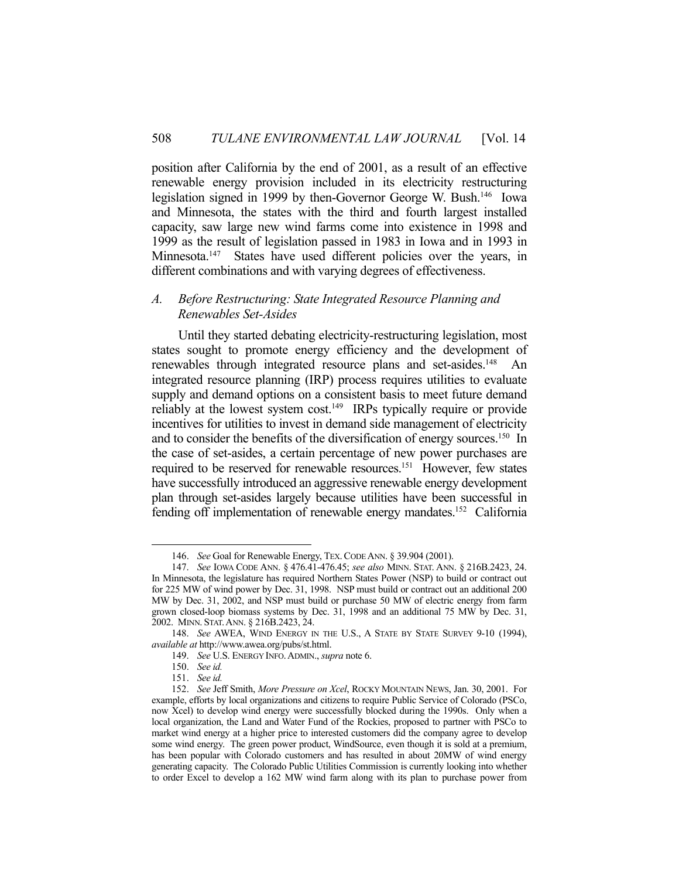position after California by the end of 2001, as a result of an effective renewable energy provision included in its electricity restructuring legislation signed in 1999 by then-Governor George W. Bush.146 Iowa and Minnesota, the states with the third and fourth largest installed capacity, saw large new wind farms come into existence in 1998 and 1999 as the result of legislation passed in 1983 in Iowa and in 1993 in Minnesota.<sup>147</sup> States have used different policies over the years, in different combinations and with varying degrees of effectiveness.

# *A. Before Restructuring: State Integrated Resource Planning and Renewables Set-Asides*

 Until they started debating electricity-restructuring legislation, most states sought to promote energy efficiency and the development of renewables through integrated resource plans and set-asides.<sup>148</sup> An integrated resource planning (IRP) process requires utilities to evaluate supply and demand options on a consistent basis to meet future demand reliably at the lowest system cost.<sup>149</sup> IRPs typically require or provide incentives for utilities to invest in demand side management of electricity and to consider the benefits of the diversification of energy sources.<sup>150</sup> In the case of set-asides, a certain percentage of new power purchases are required to be reserved for renewable resources.151 However, few states have successfully introduced an aggressive renewable energy development plan through set-asides largely because utilities have been successful in fending off implementation of renewable energy mandates.152 California

 <sup>146.</sup> *See* Goal for Renewable Energy, TEX.CODE ANN. § 39.904 (2001).

 <sup>147.</sup> *See* IOWA CODE ANN. § 476.41-476.45; *see also* MINN. STAT. ANN. § 216B.2423, 24. In Minnesota, the legislature has required Northern States Power (NSP) to build or contract out for 225 MW of wind power by Dec. 31, 1998. NSP must build or contract out an additional 200 MW by Dec. 31, 2002, and NSP must build or purchase 50 MW of electric energy from farm grown closed-loop biomass systems by Dec. 31, 1998 and an additional 75 MW by Dec. 31, 2002. MINN. STAT.ANN. § 216B.2423, 24.

 <sup>148.</sup> *See* AWEA, WIND ENERGY IN THE U.S., A STATE BY STATE SURVEY 9-10 (1994), *available at* http://www.awea.org/pubs/st.html.

 <sup>149.</sup> *See* U.S. ENERGY INFO.ADMIN., *supra* note 6.

 <sup>150.</sup> *See id.*

 <sup>151.</sup> *See id.*

 <sup>152.</sup> *See* Jeff Smith, *More Pressure on Xcel*, ROCKY MOUNTAIN NEWS, Jan. 30, 2001. For example, efforts by local organizations and citizens to require Public Service of Colorado (PSCo, now Xcel) to develop wind energy were successfully blocked during the 1990s. Only when a local organization, the Land and Water Fund of the Rockies, proposed to partner with PSCo to market wind energy at a higher price to interested customers did the company agree to develop some wind energy. The green power product, WindSource, even though it is sold at a premium, has been popular with Colorado customers and has resulted in about 20MW of wind energy generating capacity. The Colorado Public Utilities Commission is currently looking into whether to order Excel to develop a 162 MW wind farm along with its plan to purchase power from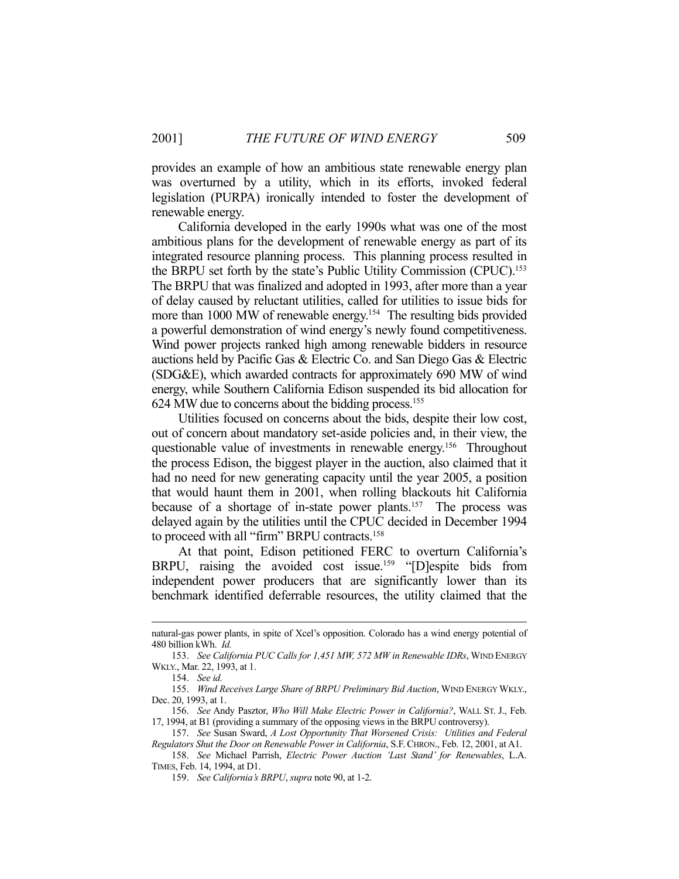provides an example of how an ambitious state renewable energy plan was overturned by a utility, which in its efforts, invoked federal legislation (PURPA) ironically intended to foster the development of renewable energy.

 California developed in the early 1990s what was one of the most ambitious plans for the development of renewable energy as part of its integrated resource planning process. This planning process resulted in the BRPU set forth by the state's Public Utility Commission (CPUC).153 The BRPU that was finalized and adopted in 1993, after more than a year of delay caused by reluctant utilities, called for utilities to issue bids for more than 1000 MW of renewable energy.<sup>154</sup> The resulting bids provided a powerful demonstration of wind energy's newly found competitiveness. Wind power projects ranked high among renewable bidders in resource auctions held by Pacific Gas & Electric Co. and San Diego Gas & Electric (SDG&E), which awarded contracts for approximately 690 MW of wind energy, while Southern California Edison suspended its bid allocation for 624 MW due to concerns about the bidding process.155

 Utilities focused on concerns about the bids, despite their low cost, out of concern about mandatory set-aside policies and, in their view, the questionable value of investments in renewable energy.156 Throughout the process Edison, the biggest player in the auction, also claimed that it had no need for new generating capacity until the year 2005, a position that would haunt them in 2001, when rolling blackouts hit California because of a shortage of in-state power plants.<sup>157</sup> The process was delayed again by the utilities until the CPUC decided in December 1994 to proceed with all "firm" BRPU contracts.<sup>158</sup>

 At that point, Edison petitioned FERC to overturn California's BRPU, raising the avoided cost issue.<sup>159</sup> "[D]espite bids from independent power producers that are significantly lower than its benchmark identified deferrable resources, the utility claimed that the

natural-gas power plants, in spite of Xcel's opposition. Colorado has a wind energy potential of 480 billion kWh. *Id.*

 <sup>153.</sup> *See California PUC Calls for 1,451 MW, 572 MW in Renewable IDRs*, WIND ENERGY WKLY., Mar. 22, 1993, at 1.

 <sup>154.</sup> *See id.*

 <sup>155.</sup> *Wind Receives Large Share of BRPU Preliminary Bid Auction*, WIND ENERGY WKLY., Dec. 20, 1993, at 1.

 <sup>156.</sup> *See* Andy Pasztor, *Who Will Make Electric Power in California?*, WALL ST. J., Feb. 17, 1994, at B1 (providing a summary of the opposing views in the BRPU controversy).

 <sup>157.</sup> *See* Susan Sward, *A Lost Opportunity That Worsened Crisis: Utilities and Federal Regulators Shut the Door on Renewable Power in California*, S.F.CHRON., Feb. 12, 2001, at A1.

 <sup>158.</sup> *See* Michael Parrish, *Electric Power Auction 'Last Stand' for Renewables*, L.A. TIMES, Feb. 14, 1994, at D1.

 <sup>159.</sup> *See California's BRPU*, *supra* note 90, at 1-2.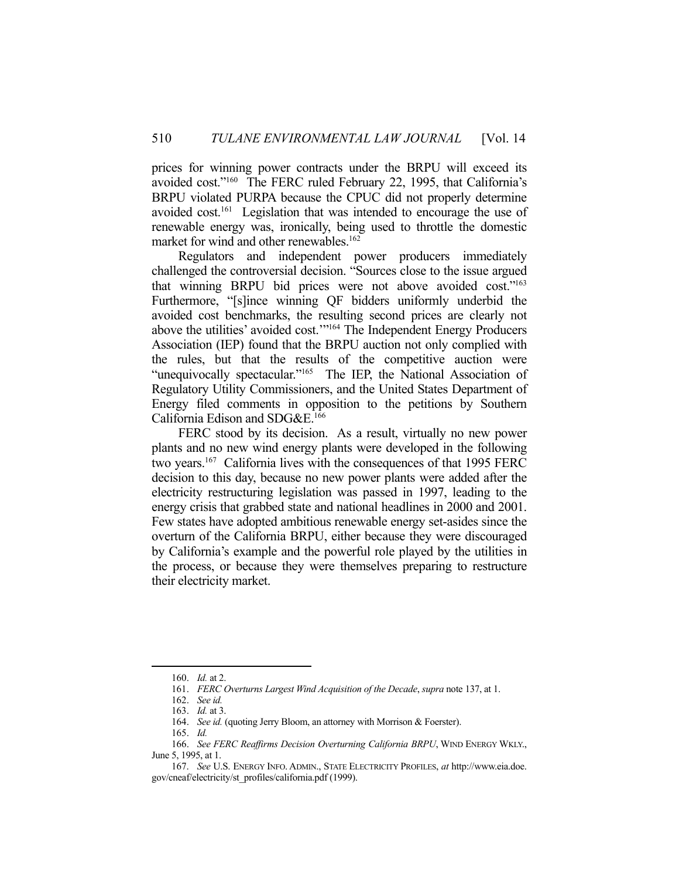prices for winning power contracts under the BRPU will exceed its avoided cost."160 The FERC ruled February 22, 1995, that California's BRPU violated PURPA because the CPUC did not properly determine avoided cost.<sup>161</sup> Legislation that was intended to encourage the use of renewable energy was, ironically, being used to throttle the domestic market for wind and other renewables.<sup>162</sup>

 Regulators and independent power producers immediately challenged the controversial decision. "Sources close to the issue argued that winning BRPU bid prices were not above avoided cost."163 Furthermore, "[s]ince winning QF bidders uniformly underbid the avoided cost benchmarks, the resulting second prices are clearly not above the utilities' avoided cost.'"164 The Independent Energy Producers Association (IEP) found that the BRPU auction not only complied with the rules, but that the results of the competitive auction were "unequivocally spectacular."<sup>165</sup> The IEP, the National Association of Regulatory Utility Commissioners, and the United States Department of Energy filed comments in opposition to the petitions by Southern California Edison and SDG&E.166

 FERC stood by its decision. As a result, virtually no new power plants and no new wind energy plants were developed in the following two years.167 California lives with the consequences of that 1995 FERC decision to this day, because no new power plants were added after the electricity restructuring legislation was passed in 1997, leading to the energy crisis that grabbed state and national headlines in 2000 and 2001. Few states have adopted ambitious renewable energy set-asides since the overturn of the California BRPU, either because they were discouraged by California's example and the powerful role played by the utilities in the process, or because they were themselves preparing to restructure their electricity market.

 <sup>160.</sup> *Id.* at 2.

 <sup>161.</sup> *FERC Overturns Largest Wind Acquisition of the Decade*, *supra* note 137, at 1.

 <sup>162.</sup> *See id.*

 <sup>163.</sup> *Id.* at 3.

<sup>164.</sup> *See id.* (quoting Jerry Bloom, an attorney with Morrison & Foerster).

 <sup>165.</sup> *Id.*

 <sup>166.</sup> *See FERC Reaffirms Decision Overturning California BRPU*, WIND ENERGY WKLY., June 5, 1995, at 1.

 <sup>167.</sup> *See* U.S. ENERGY INFO. ADMIN., STATE ELECTRICITY PROFILES, *at* http://www.eia.doe. gov/cneaf/electricity/st\_profiles/california.pdf (1999).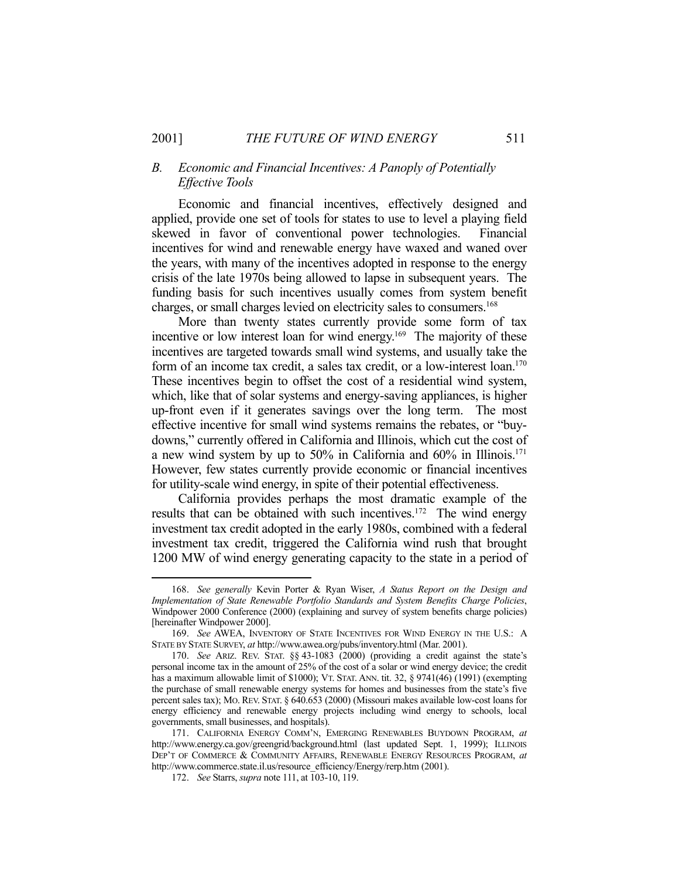# *B. Economic and Financial Incentives: A Panoply of Potentially Effective Tools*

 Economic and financial incentives, effectively designed and applied, provide one set of tools for states to use to level a playing field skewed in favor of conventional power technologies. Financial incentives for wind and renewable energy have waxed and waned over the years, with many of the incentives adopted in response to the energy crisis of the late 1970s being allowed to lapse in subsequent years. The funding basis for such incentives usually comes from system benefit charges, or small charges levied on electricity sales to consumers.168

 More than twenty states currently provide some form of tax incentive or low interest loan for wind energy.<sup>169</sup> The majority of these incentives are targeted towards small wind systems, and usually take the form of an income tax credit, a sales tax credit, or a low-interest loan.<sup>170</sup> These incentives begin to offset the cost of a residential wind system, which, like that of solar systems and energy-saving appliances, is higher up-front even if it generates savings over the long term. The most effective incentive for small wind systems remains the rebates, or "buydowns," currently offered in California and Illinois, which cut the cost of a new wind system by up to 50% in California and 60% in Illinois.171 However, few states currently provide economic or financial incentives for utility-scale wind energy, in spite of their potential effectiveness.

 California provides perhaps the most dramatic example of the results that can be obtained with such incentives.<sup>172</sup> The wind energy investment tax credit adopted in the early 1980s, combined with a federal investment tax credit, triggered the California wind rush that brought 1200 MW of wind energy generating capacity to the state in a period of

 <sup>168.</sup> *See generally* Kevin Porter & Ryan Wiser, *A Status Report on the Design and Implementation of State Renewable Portfolio Standards and System Benefits Charge Policies*, Windpower 2000 Conference (2000) (explaining and survey of system benefits charge policies) [hereinafter Windpower 2000].

 <sup>169.</sup> *See* AWEA, INVENTORY OF STATE INCENTIVES FOR WIND ENERGY IN THE U.S.: A STATE BY STATE SURVEY, *at* http://www.awea.org/pubs/inventory.html (Mar. 2001).

 <sup>170.</sup> *See* ARIZ. REV. STAT. §§ 43-1083 (2000) (providing a credit against the state's personal income tax in the amount of 25% of the cost of a solar or wind energy device; the credit has a maximum allowable limit of  $$1000$ ); VT. STAT. ANN. tit. 32,  $§$  9741(46)(1991) (exempting the purchase of small renewable energy systems for homes and businesses from the state's five percent sales tax); MO. REV. STAT. § 640.653 (2000) (Missouri makes available low-cost loans for energy efficiency and renewable energy projects including wind energy to schools, local governments, small businesses, and hospitals).

 <sup>171.</sup> CALIFORNIA ENERGY COMM'N, EMERGING RENEWABLES BUYDOWN PROGRAM, *at*  http://www.energy.ca.gov/greengrid/background.html (last updated Sept. 1, 1999); ILLINOIS DEP'T OF COMMERCE & COMMUNITY AFFAIRS, RENEWABLE ENERGY RESOURCES PROGRAM, *at* http://www.commerce.state.il.us/resource\_efficiency/Energy/rerp.htm (2001).

 <sup>172.</sup> *See* Starrs, *supra* note 111, at 103-10, 119.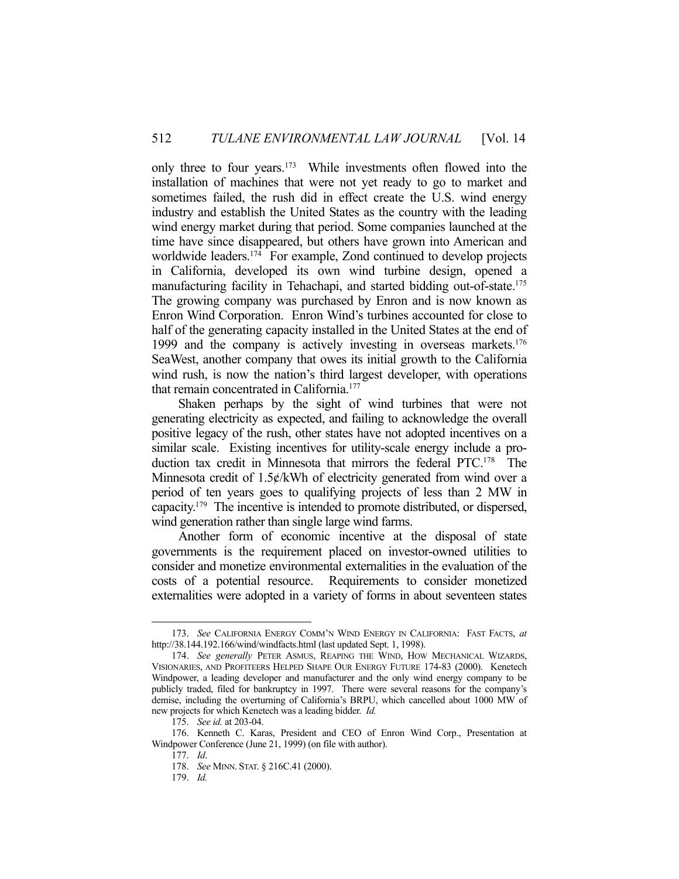only three to four years.<sup>173</sup> While investments often flowed into the installation of machines that were not yet ready to go to market and sometimes failed, the rush did in effect create the U.S. wind energy industry and establish the United States as the country with the leading wind energy market during that period. Some companies launched at the time have since disappeared, but others have grown into American and worldwide leaders.<sup>174</sup> For example, Zond continued to develop projects in California, developed its own wind turbine design, opened a manufacturing facility in Tehachapi, and started bidding out-of-state.<sup>175</sup> The growing company was purchased by Enron and is now known as Enron Wind Corporation. Enron Wind's turbines accounted for close to half of the generating capacity installed in the United States at the end of 1999 and the company is actively investing in overseas markets.<sup>176</sup> SeaWest, another company that owes its initial growth to the California wind rush, is now the nation's third largest developer, with operations that remain concentrated in California.<sup>177</sup>

 Shaken perhaps by the sight of wind turbines that were not generating electricity as expected, and failing to acknowledge the overall positive legacy of the rush, other states have not adopted incentives on a similar scale. Existing incentives for utility-scale energy include a production tax credit in Minnesota that mirrors the federal PTC.178 The Minnesota credit of 1.5¢/kWh of electricity generated from wind over a period of ten years goes to qualifying projects of less than 2 MW in capacity.179 The incentive is intended to promote distributed, or dispersed, wind generation rather than single large wind farms.

 Another form of economic incentive at the disposal of state governments is the requirement placed on investor-owned utilities to consider and monetize environmental externalities in the evaluation of the costs of a potential resource. Requirements to consider monetized externalities were adopted in a variety of forms in about seventeen states

 <sup>173.</sup> *See* CALIFORNIA ENERGY COMM'N WIND ENERGY IN CALIFORNIA: FAST FACTS, *at*  http://38.144.192.166/wind/windfacts.html (last updated Sept. 1, 1998).

 <sup>174.</sup> *See generally* PETER ASMUS, REAPING THE WIND, HOW MECHANICAL WIZARDS, VISIONARIES, AND PROFITEERS HELPED SHAPE OUR ENERGY FUTURE 174-83 (2000). Kenetech Windpower, a leading developer and manufacturer and the only wind energy company to be publicly traded, filed for bankruptcy in 1997. There were several reasons for the company's demise, including the overturning of California's BRPU, which cancelled about 1000 MW of new projects for which Kenetech was a leading bidder. *Id.*

 <sup>175.</sup> *See id.* at 203-04.

 <sup>176.</sup> Kenneth C. Karas, President and CEO of Enron Wind Corp., Presentation at Windpower Conference (June 21, 1999) (on file with author).

 <sup>177.</sup> *Id*.

 <sup>178.</sup> *See* MINN. STAT. § 216C.41 (2000).

 <sup>179.</sup> *Id.*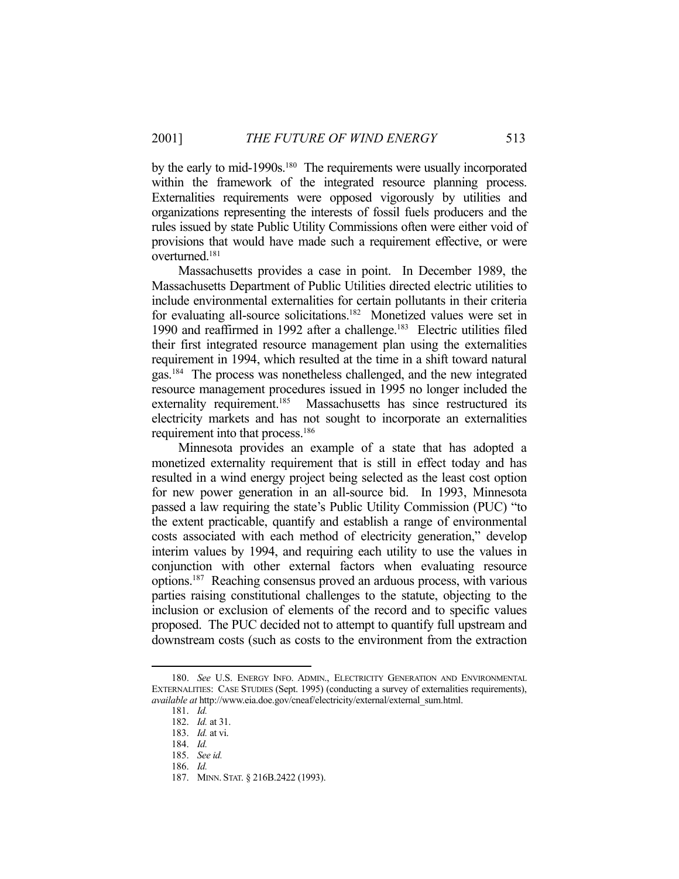by the early to mid-1990s.<sup>180</sup> The requirements were usually incorporated within the framework of the integrated resource planning process. Externalities requirements were opposed vigorously by utilities and organizations representing the interests of fossil fuels producers and the rules issued by state Public Utility Commissions often were either void of provisions that would have made such a requirement effective, or were overturned.181

 Massachusetts provides a case in point. In December 1989, the Massachusetts Department of Public Utilities directed electric utilities to include environmental externalities for certain pollutants in their criteria for evaluating all-source solicitations.<sup>182</sup> Monetized values were set in 1990 and reaffirmed in 1992 after a challenge.183 Electric utilities filed their first integrated resource management plan using the externalities requirement in 1994, which resulted at the time in a shift toward natural gas.184 The process was nonetheless challenged, and the new integrated resource management procedures issued in 1995 no longer included the externality requirement.<sup>185</sup> Massachusetts has since restructured its electricity markets and has not sought to incorporate an externalities requirement into that process.<sup>186</sup>

 Minnesota provides an example of a state that has adopted a monetized externality requirement that is still in effect today and has resulted in a wind energy project being selected as the least cost option for new power generation in an all-source bid. In 1993, Minnesota passed a law requiring the state's Public Utility Commission (PUC) "to the extent practicable, quantify and establish a range of environmental costs associated with each method of electricity generation," develop interim values by 1994, and requiring each utility to use the values in conjunction with other external factors when evaluating resource options.187 Reaching consensus proved an arduous process, with various parties raising constitutional challenges to the statute, objecting to the inclusion or exclusion of elements of the record and to specific values proposed. The PUC decided not to attempt to quantify full upstream and downstream costs (such as costs to the environment from the extraction

 <sup>180.</sup> *See* U.S. ENERGY INFO. ADMIN., ELECTRICITY GENERATION AND ENVIRONMENTAL EXTERNALITIES: CASE STUDIES (Sept. 1995) (conducting a survey of externalities requirements), *available at* http://www.eia.doe.gov/cneaf/electricity/external/external\_sum.html.

 <sup>181.</sup> *Id.*

 <sup>182.</sup> *Id.* at 31.

 <sup>183.</sup> *Id.* at vi.

 <sup>184.</sup> *Id.*

 <sup>185.</sup> *See id.*

 <sup>186.</sup> *Id.*

 <sup>187.</sup> MINN. STAT. § 216B.2422 (1993).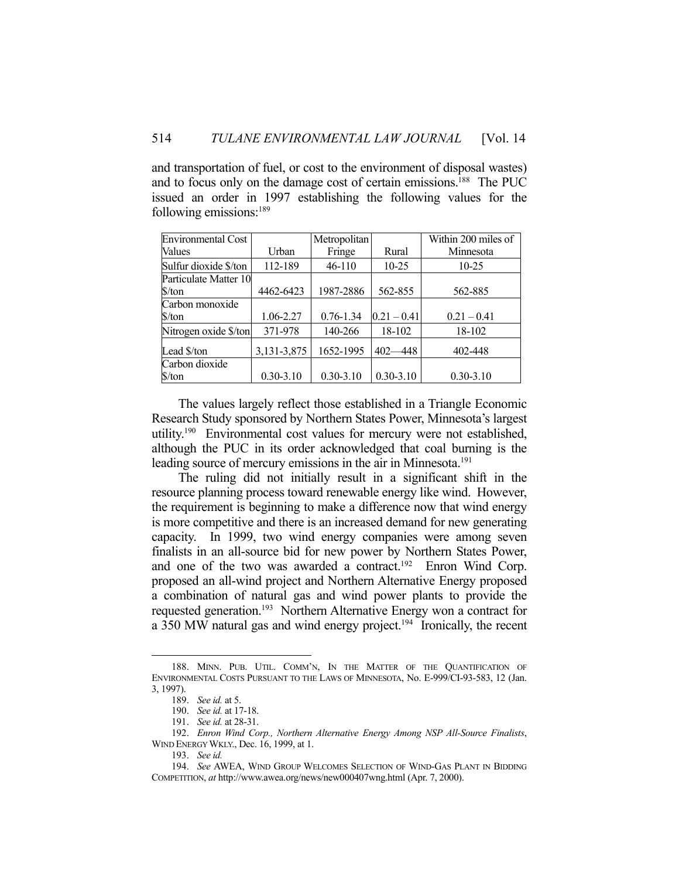and transportation of fuel, or cost to the environment of disposal wastes) and to focus only on the damage cost of certain emissions.188 The PUC issued an order in 1997 establishing the following values for the following emissions:189

| <b>Environmental Cost</b>     |               | Metropolitan  |               | Within 200 miles of |
|-------------------------------|---------------|---------------|---------------|---------------------|
| Values                        | Urban         | Fringe        | Rural         | Minnesota           |
| Sulfur dioxide \$/ton         | 112-189       | $46-110$      | $10 - 25$     | 10-25               |
| Particulate Matter 10         |               |               |               |                     |
| $\frac{\text{S}}{\text{ton}}$ | 4462-6423     | 1987-2886     | 562-855       | 562-885             |
| Carbon monoxide               |               |               |               |                     |
| \$/ton                        | 1.06-2.27     | $0.76 - 1.34$ | $0.21 - 0.41$ | $0.21 - 0.41$       |
| Nitrogen oxide \$/ton         | 371-978       | 140-266       | 18-102        | 18-102              |
| Lead \$/ton                   | 3,131-3,875   | 1652-1995     | $402 - 448$   | 402-448             |
| Carbon dioxide                |               |               |               |                     |
| \$/ton                        | $0.30 - 3.10$ | $0.30 - 3.10$ | $0.30 - 3.10$ | $0.30 - 3.10$       |

 The values largely reflect those established in a Triangle Economic Research Study sponsored by Northern States Power, Minnesota's largest utility.<sup>190</sup> Environmental cost values for mercury were not established, although the PUC in its order acknowledged that coal burning is the leading source of mercury emissions in the air in Minnesota.<sup>191</sup>

 The ruling did not initially result in a significant shift in the resource planning process toward renewable energy like wind. However, the requirement is beginning to make a difference now that wind energy is more competitive and there is an increased demand for new generating capacity. In 1999, two wind energy companies were among seven finalists in an all-source bid for new power by Northern States Power, and one of the two was awarded a contract.<sup>192</sup> Enron Wind Corp. proposed an all-wind project and Northern Alternative Energy proposed a combination of natural gas and wind power plants to provide the requested generation.<sup>193</sup> Northern Alternative Energy won a contract for a 350 MW natural gas and wind energy project.<sup>194</sup> Ironically, the recent

 <sup>188.</sup> MINN. PUB. UTIL. COMM'N, IN THE MATTER OF THE QUANTIFICATION OF ENVIRONMENTAL COSTS PURSUANT TO THE LAWS OF MINNESOTA, No. E-999/CI-93-583, 12 (Jan. 3, 1997).

 <sup>189.</sup> *See id.* at 5.

 <sup>190.</sup> *See id.* at 17-18.

 <sup>191.</sup> *See id.* at 28-31.

 <sup>192.</sup> *Enron Wind Corp., Northern Alternative Energy Among NSP All-Source Finalists*, WIND ENERGY WKLY., Dec. 16, 1999, at 1.

 <sup>193.</sup> *See id.*

 <sup>194.</sup> *See* AWEA, WIND GROUP WELCOMES SELECTION OF WIND-GAS PLANT IN BIDDING COMPETITION, *at* http://www.awea.org/news/new000407wng.html (Apr. 7, 2000).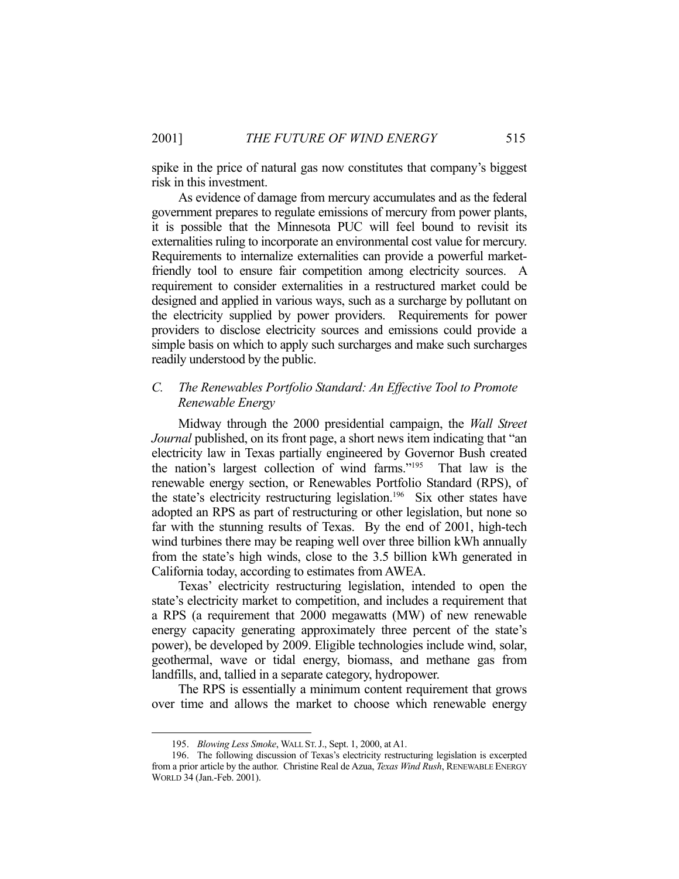spike in the price of natural gas now constitutes that company's biggest risk in this investment.

 As evidence of damage from mercury accumulates and as the federal government prepares to regulate emissions of mercury from power plants, it is possible that the Minnesota PUC will feel bound to revisit its externalities ruling to incorporate an environmental cost value for mercury. Requirements to internalize externalities can provide a powerful marketfriendly tool to ensure fair competition among electricity sources. A requirement to consider externalities in a restructured market could be designed and applied in various ways, such as a surcharge by pollutant on the electricity supplied by power providers. Requirements for power providers to disclose electricity sources and emissions could provide a simple basis on which to apply such surcharges and make such surcharges readily understood by the public.

# *C. The Renewables Portfolio Standard: An Effective Tool to Promote Renewable Energy*

 Midway through the 2000 presidential campaign, the *Wall Street Journal* published, on its front page, a short news item indicating that "an electricity law in Texas partially engineered by Governor Bush created the nation's largest collection of wind farms."195 That law is the renewable energy section, or Renewables Portfolio Standard (RPS), of the state's electricity restructuring legislation.<sup>196</sup> Six other states have adopted an RPS as part of restructuring or other legislation, but none so far with the stunning results of Texas. By the end of 2001, high-tech wind turbines there may be reaping well over three billion kWh annually from the state's high winds, close to the 3.5 billion kWh generated in California today, according to estimates from AWEA.

 Texas' electricity restructuring legislation, intended to open the state's electricity market to competition, and includes a requirement that a RPS (a requirement that 2000 megawatts (MW) of new renewable energy capacity generating approximately three percent of the state's power), be developed by 2009. Eligible technologies include wind, solar, geothermal, wave or tidal energy, biomass, and methane gas from landfills, and, tallied in a separate category, hydropower.

 The RPS is essentially a minimum content requirement that grows over time and allows the market to choose which renewable energy

 <sup>195.</sup> *Blowing Less Smoke*, WALL ST.J., Sept. 1, 2000, at A1.

 <sup>196.</sup> The following discussion of Texas's electricity restructuring legislation is excerpted from a prior article by the author. Christine Real de Azua, *Texas Wind Rush*, RENEWABLE ENERGY WORLD 34 (Jan.-Feb. 2001).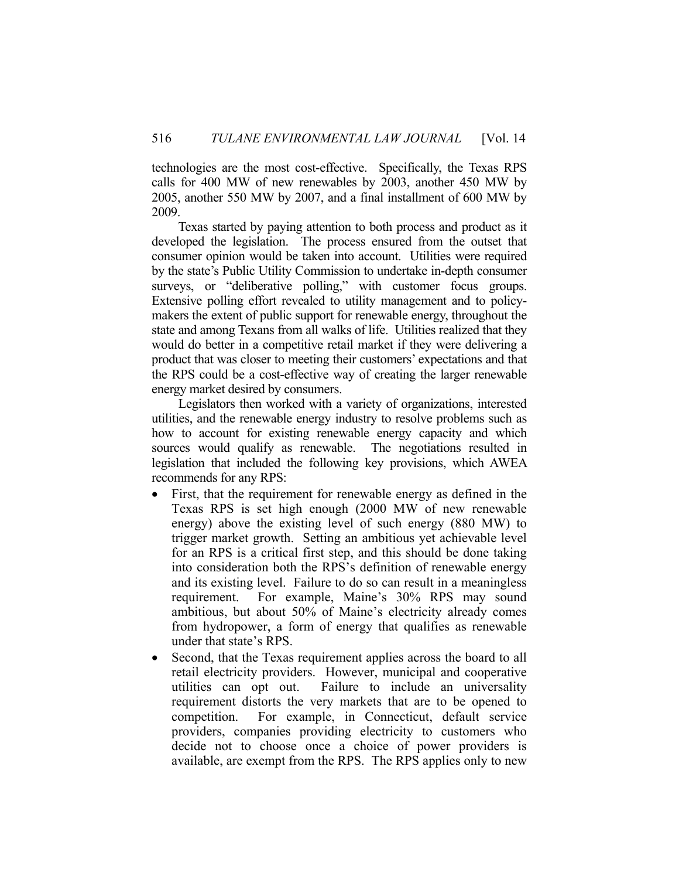technologies are the most cost-effective. Specifically, the Texas RPS calls for 400 MW of new renewables by 2003, another 450 MW by 2005, another 550 MW by 2007, and a final installment of 600 MW by 2009.

 Texas started by paying attention to both process and product as it developed the legislation. The process ensured from the outset that consumer opinion would be taken into account. Utilities were required by the state's Public Utility Commission to undertake in-depth consumer surveys, or "deliberative polling," with customer focus groups. Extensive polling effort revealed to utility management and to policymakers the extent of public support for renewable energy, throughout the state and among Texans from all walks of life. Utilities realized that they would do better in a competitive retail market if they were delivering a product that was closer to meeting their customers' expectations and that the RPS could be a cost-effective way of creating the larger renewable energy market desired by consumers.

 Legislators then worked with a variety of organizations, interested utilities, and the renewable energy industry to resolve problems such as how to account for existing renewable energy capacity and which sources would qualify as renewable. The negotiations resulted in legislation that included the following key provisions, which AWEA recommends for any RPS:

- First, that the requirement for renewable energy as defined in the Texas RPS is set high enough (2000 MW of new renewable energy) above the existing level of such energy (880 MW) to trigger market growth. Setting an ambitious yet achievable level for an RPS is a critical first step, and this should be done taking into consideration both the RPS's definition of renewable energy and its existing level. Failure to do so can result in a meaningless requirement. For example, Maine's 30% RPS may sound ambitious, but about 50% of Maine's electricity already comes from hydropower, a form of energy that qualifies as renewable under that state's RPS.
- Second, that the Texas requirement applies across the board to all retail electricity providers. However, municipal and cooperative utilities can opt out. Failure to include an universality requirement distorts the very markets that are to be opened to competition. For example, in Connecticut, default service providers, companies providing electricity to customers who decide not to choose once a choice of power providers is available, are exempt from the RPS. The RPS applies only to new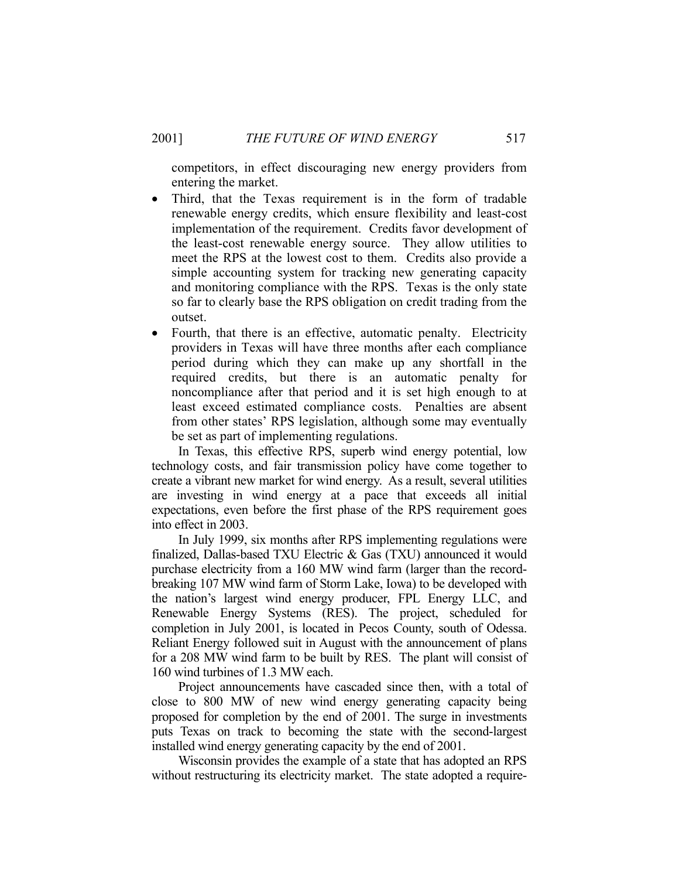competitors, in effect discouraging new energy providers from entering the market.

- Third, that the Texas requirement is in the form of tradable renewable energy credits, which ensure flexibility and least-cost implementation of the requirement. Credits favor development of the least-cost renewable energy source. They allow utilities to meet the RPS at the lowest cost to them. Credits also provide a simple accounting system for tracking new generating capacity and monitoring compliance with the RPS. Texas is the only state so far to clearly base the RPS obligation on credit trading from the outset.
- Fourth, that there is an effective, automatic penalty. Electricity providers in Texas will have three months after each compliance period during which they can make up any shortfall in the required credits, but there is an automatic penalty for noncompliance after that period and it is set high enough to at least exceed estimated compliance costs. Penalties are absent from other states' RPS legislation, although some may eventually be set as part of implementing regulations.

 In Texas, this effective RPS, superb wind energy potential, low technology costs, and fair transmission policy have come together to create a vibrant new market for wind energy. As a result, several utilities are investing in wind energy at a pace that exceeds all initial expectations, even before the first phase of the RPS requirement goes into effect in 2003.

 In July 1999, six months after RPS implementing regulations were finalized, Dallas-based TXU Electric & Gas (TXU) announced it would purchase electricity from a 160 MW wind farm (larger than the recordbreaking 107 MW wind farm of Storm Lake, Iowa) to be developed with the nation's largest wind energy producer, FPL Energy LLC, and Renewable Energy Systems (RES). The project, scheduled for completion in July 2001, is located in Pecos County, south of Odessa. Reliant Energy followed suit in August with the announcement of plans for a 208 MW wind farm to be built by RES. The plant will consist of 160 wind turbines of 1.3 MW each.

 Project announcements have cascaded since then, with a total of close to 800 MW of new wind energy generating capacity being proposed for completion by the end of 2001. The surge in investments puts Texas on track to becoming the state with the second-largest installed wind energy generating capacity by the end of 2001.

 Wisconsin provides the example of a state that has adopted an RPS without restructuring its electricity market. The state adopted a require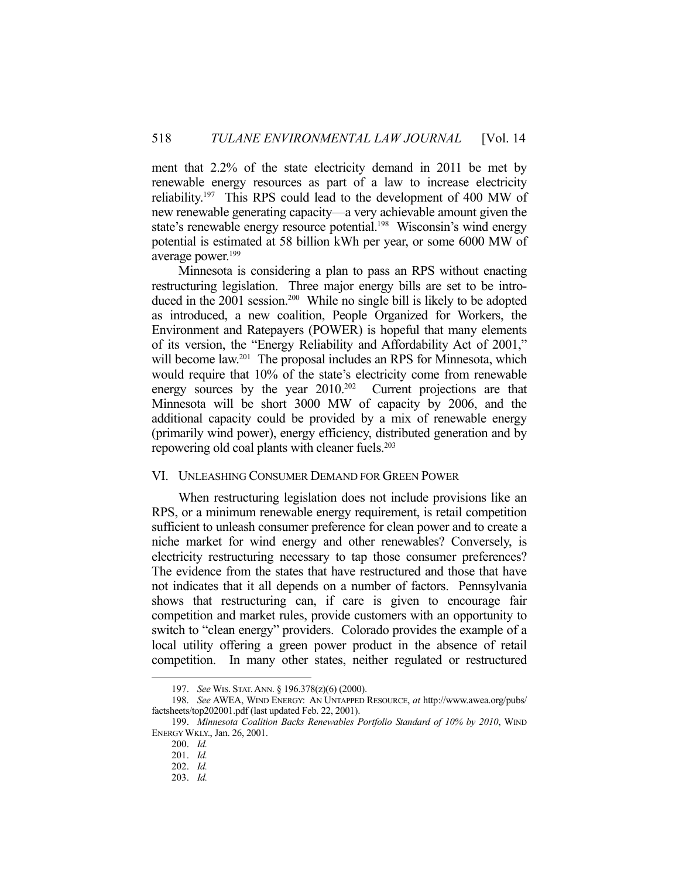ment that 2.2% of the state electricity demand in 2011 be met by renewable energy resources as part of a law to increase electricity reliability.197 This RPS could lead to the development of 400 MW of new renewable generating capacity—a very achievable amount given the state's renewable energy resource potential.<sup>198</sup> Wisconsin's wind energy potential is estimated at 58 billion kWh per year, or some 6000 MW of average power.<sup>199</sup>

 Minnesota is considering a plan to pass an RPS without enacting restructuring legislation. Three major energy bills are set to be introduced in the 2001 session.200 While no single bill is likely to be adopted as introduced, a new coalition, People Organized for Workers, the Environment and Ratepayers (POWER) is hopeful that many elements of its version, the "Energy Reliability and Affordability Act of 2001," will become law.<sup>201</sup> The proposal includes an RPS for Minnesota, which would require that 10% of the state's electricity come from renewable energy sources by the year 2010.<sup>202</sup> Current projections are that Minnesota will be short 3000 MW of capacity by 2006, and the additional capacity could be provided by a mix of renewable energy (primarily wind power), energy efficiency, distributed generation and by repowering old coal plants with cleaner fuels.<sup>203</sup>

#### VI. UNLEASHING CONSUMER DEMAND FOR GREEN POWER

 When restructuring legislation does not include provisions like an RPS, or a minimum renewable energy requirement, is retail competition sufficient to unleash consumer preference for clean power and to create a niche market for wind energy and other renewables? Conversely, is electricity restructuring necessary to tap those consumer preferences? The evidence from the states that have restructured and those that have not indicates that it all depends on a number of factors. Pennsylvania shows that restructuring can, if care is given to encourage fair competition and market rules, provide customers with an opportunity to switch to "clean energy" providers. Colorado provides the example of a local utility offering a green power product in the absence of retail competition. In many other states, neither regulated or restructured

 <sup>197.</sup> *See* WIS. STAT.ANN. § 196.378(z)(6) (2000).

 <sup>198.</sup> *See* AWEA, WIND ENERGY: AN UNTAPPED RESOURCE, *at* http://www.awea.org/pubs/ factsheets/top202001.pdf (last updated Feb. 22, 2001).

 <sup>199.</sup> *Minnesota Coalition Backs Renewables Portfolio Standard of 10% by 2010*, WIND ENERGY WKLY., Jan. 26, 2001.

 <sup>200.</sup> *Id.*

 <sup>201.</sup> *Id.*

 <sup>202.</sup> *Id.*

 <sup>203.</sup> *Id.*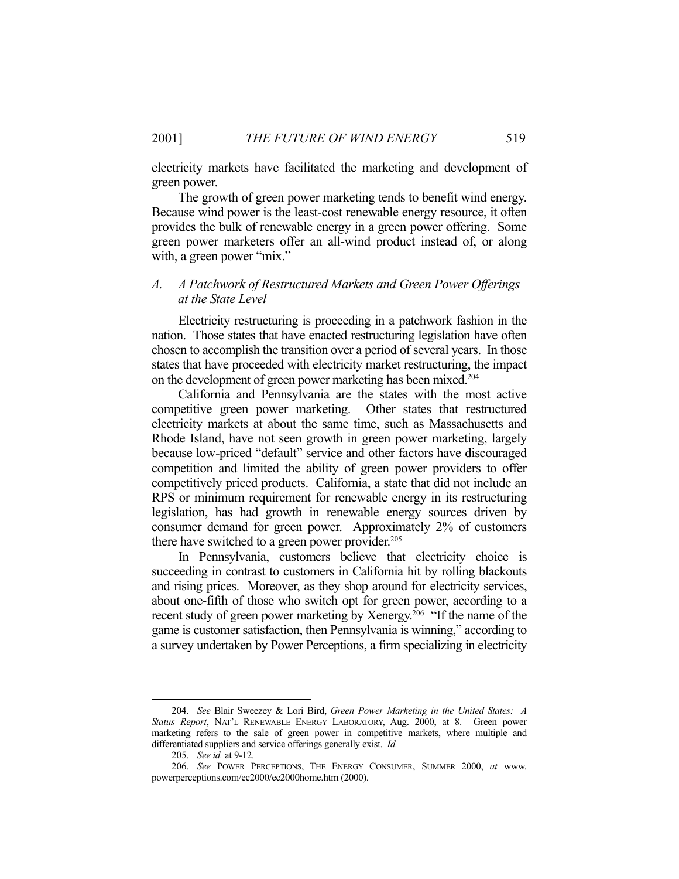electricity markets have facilitated the marketing and development of green power.

 The growth of green power marketing tends to benefit wind energy. Because wind power is the least-cost renewable energy resource, it often provides the bulk of renewable energy in a green power offering. Some green power marketers offer an all-wind product instead of, or along with, a green power "mix."

# *A. A Patchwork of Restructured Markets and Green Power Offerings at the State Level*

 Electricity restructuring is proceeding in a patchwork fashion in the nation. Those states that have enacted restructuring legislation have often chosen to accomplish the transition over a period of several years. In those states that have proceeded with electricity market restructuring, the impact on the development of green power marketing has been mixed.204

 California and Pennsylvania are the states with the most active competitive green power marketing. Other states that restructured electricity markets at about the same time, such as Massachusetts and Rhode Island, have not seen growth in green power marketing, largely because low-priced "default" service and other factors have discouraged competition and limited the ability of green power providers to offer competitively priced products. California, a state that did not include an RPS or minimum requirement for renewable energy in its restructuring legislation, has had growth in renewable energy sources driven by consumer demand for green power. Approximately 2% of customers there have switched to a green power provider. $205$ 

 In Pennsylvania, customers believe that electricity choice is succeeding in contrast to customers in California hit by rolling blackouts and rising prices. Moreover, as they shop around for electricity services, about one-fifth of those who switch opt for green power, according to a recent study of green power marketing by Xenergy.<sup>206</sup> "If the name of the game is customer satisfaction, then Pennsylvania is winning," according to a survey undertaken by Power Perceptions, a firm specializing in electricity

 <sup>204.</sup> *See* Blair Sweezey & Lori Bird, *Green Power Marketing in the United States: A Status Report*, NAT'L RENEWABLE ENERGY LABORATORY, Aug. 2000, at 8. Green power marketing refers to the sale of green power in competitive markets, where multiple and differentiated suppliers and service offerings generally exist. *Id.*

 <sup>205.</sup> *See id.* at 9-12.

 <sup>206.</sup> *See* POWER PERCEPTIONS, THE ENERGY CONSUMER, SUMMER 2000, *at* www. powerperceptions.com/ec2000/ec2000home.htm (2000).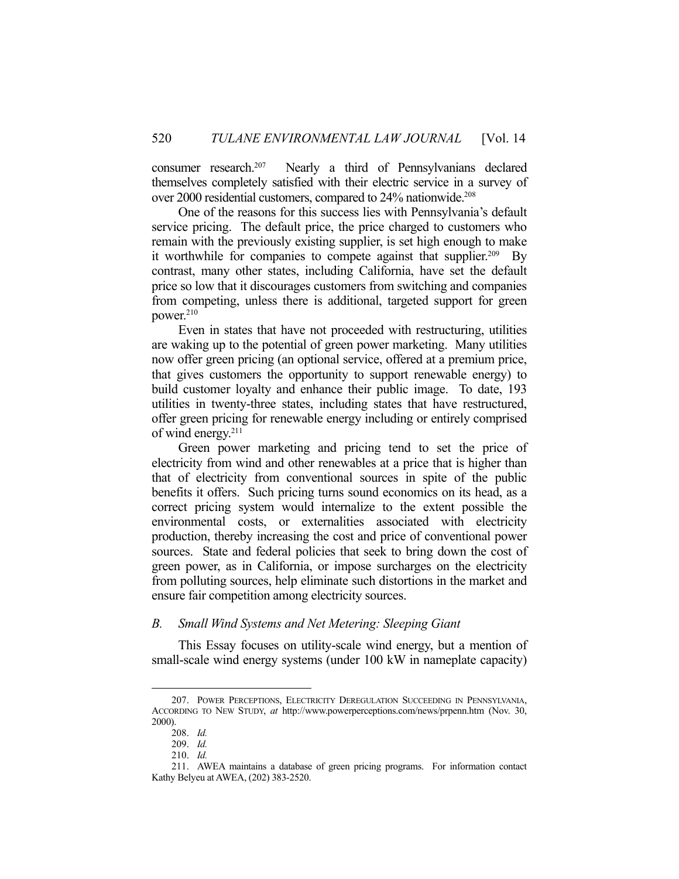consumer research.207 Nearly a third of Pennsylvanians declared themselves completely satisfied with their electric service in a survey of over 2000 residential customers, compared to 24% nationwide.208

 One of the reasons for this success lies with Pennsylvania's default service pricing. The default price, the price charged to customers who remain with the previously existing supplier, is set high enough to make it worthwhile for companies to compete against that supplier.<sup>209</sup> By contrast, many other states, including California, have set the default price so low that it discourages customers from switching and companies from competing, unless there is additional, targeted support for green power.210

 Even in states that have not proceeded with restructuring, utilities are waking up to the potential of green power marketing. Many utilities now offer green pricing (an optional service, offered at a premium price, that gives customers the opportunity to support renewable energy) to build customer loyalty and enhance their public image. To date, 193 utilities in twenty-three states, including states that have restructured, offer green pricing for renewable energy including or entirely comprised of wind energy.<sup>211</sup>

 Green power marketing and pricing tend to set the price of electricity from wind and other renewables at a price that is higher than that of electricity from conventional sources in spite of the public benefits it offers. Such pricing turns sound economics on its head, as a correct pricing system would internalize to the extent possible the environmental costs, or externalities associated with electricity production, thereby increasing the cost and price of conventional power sources. State and federal policies that seek to bring down the cost of green power, as in California, or impose surcharges on the electricity from polluting sources, help eliminate such distortions in the market and ensure fair competition among electricity sources.

#### *B. Small Wind Systems and Net Metering: Sleeping Giant*

 This Essay focuses on utility-scale wind energy, but a mention of small-scale wind energy systems (under 100 kW in nameplate capacity)

 <sup>207.</sup> POWER PERCEPTIONS, ELECTRICITY DEREGULATION SUCCEEDING IN PENNSYLVANIA, ACCORDING TO NEW STUDY, *at* http://www.powerperceptions.com/news/prpenn.htm (Nov. 30, 2000).

 <sup>208.</sup> *Id.*

 <sup>209.</sup> *Id.*

 <sup>210.</sup> *Id.*

 <sup>211.</sup> AWEA maintains a database of green pricing programs. For information contact Kathy Belyeu at AWEA, (202) 383-2520.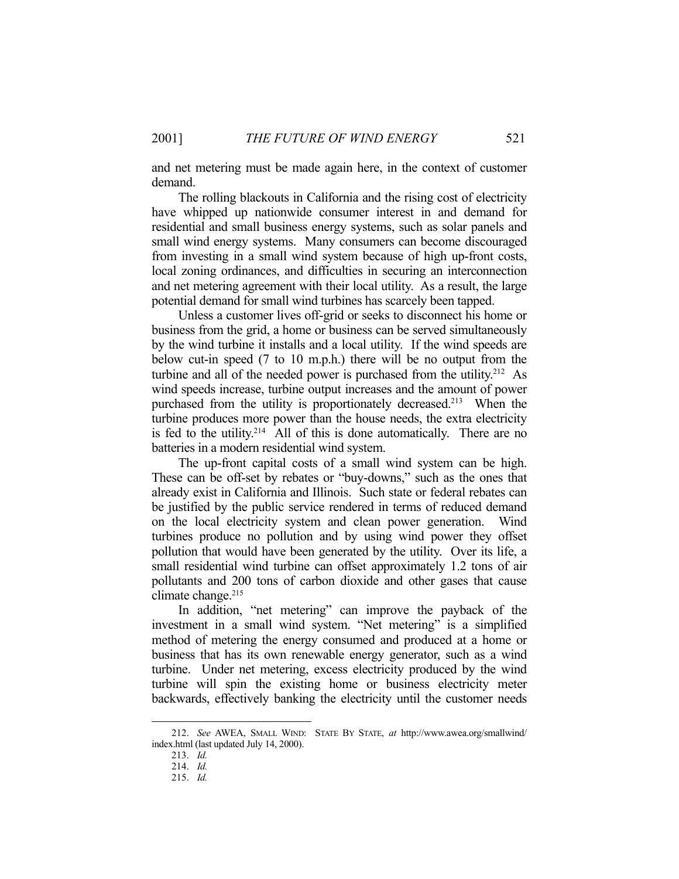and net metering must be made again here, in the context of customer demand.

 The rolling blackouts in California and the rising cost of electricity have whipped up nationwide consumer interest in and demand for residential and small business energy systems, such as solar panels and small wind energy systems. Many consumers can become discouraged from investing in a small wind system because of high up-front costs, local zoning ordinances, and difficulties in securing an interconnection and net metering agreement with their local utility. As a result, the large potential demand for small wind turbines has scarcely been tapped.

 Unless a customer lives off-grid or seeks to disconnect his home or business from the grid, a home or business can be served simultaneously by the wind turbine it installs and a local utility. If the wind speeds are below cut-in speed (7 to 10 m.p.h.) there will be no output from the turbine and all of the needed power is purchased from the utility.<sup>212</sup> As wind speeds increase, turbine output increases and the amount of power purchased from the utility is proportionately decreased.<sup>213</sup> When the turbine produces more power than the house needs, the extra electricity is fed to the utility.<sup>214</sup> All of this is done automatically. There are no batteries in a modern residential wind system.

 The up-front capital costs of a small wind system can be high. These can be off-set by rebates or "buy-downs," such as the ones that already exist in California and Illinois. Such state or federal rebates can be justified by the public service rendered in terms of reduced demand on the local electricity system and clean power generation. Wind turbines produce no pollution and by using wind power they offset pollution that would have been generated by the utility. Over its life, a small residential wind turbine can offset approximately 1.2 tons of air pollutants and 200 tons of carbon dioxide and other gases that cause climate change.<sup>215</sup>

 In addition, "net metering" can improve the payback of the investment in a small wind system. "Net metering" is a simplified method of metering the energy consumed and produced at a home or business that has its own renewable energy generator, such as a wind turbine. Under net metering, excess electricity produced by the wind turbine will spin the existing home or business electricity meter backwards, effectively banking the electricity until the customer needs

 <sup>212.</sup> *See* AWEA, SMALL WIND: STATE BY STATE, *at* http://www.awea.org/smallwind/ index.html (last updated July 14, 2000).

 <sup>213.</sup> *Id.*

 <sup>214.</sup> *Id.*

 <sup>215.</sup> *Id.*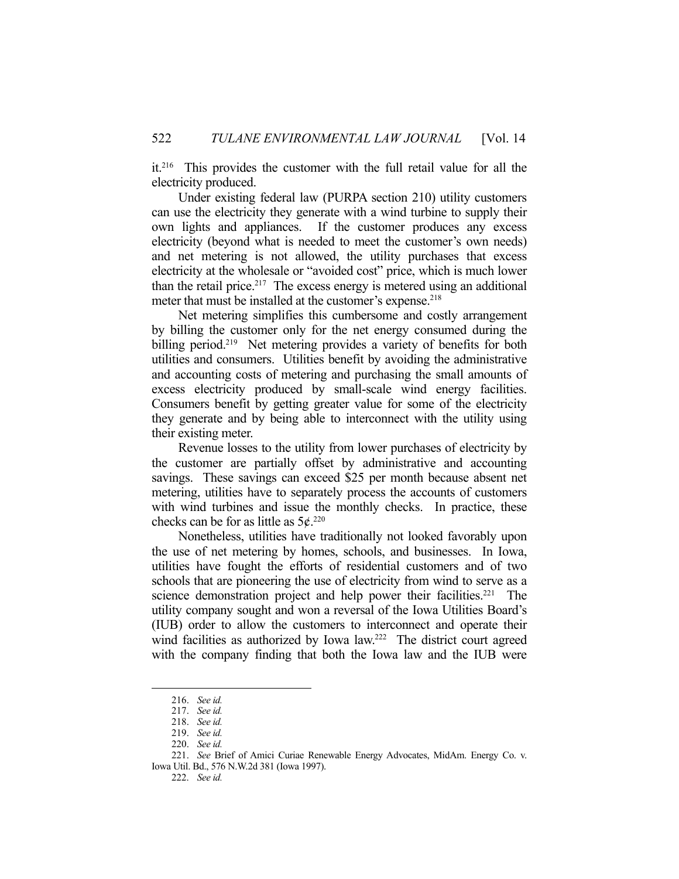it.216 This provides the customer with the full retail value for all the electricity produced.

 Under existing federal law (PURPA section 210) utility customers can use the electricity they generate with a wind turbine to supply their own lights and appliances. If the customer produces any excess electricity (beyond what is needed to meet the customer's own needs) and net metering is not allowed, the utility purchases that excess electricity at the wholesale or "avoided cost" price, which is much lower than the retail price.<sup>217</sup> The excess energy is metered using an additional meter that must be installed at the customer's expense.<sup>218</sup>

 Net metering simplifies this cumbersome and costly arrangement by billing the customer only for the net energy consumed during the billing period.<sup>219</sup> Net metering provides a variety of benefits for both utilities and consumers. Utilities benefit by avoiding the administrative and accounting costs of metering and purchasing the small amounts of excess electricity produced by small-scale wind energy facilities. Consumers benefit by getting greater value for some of the electricity they generate and by being able to interconnect with the utility using their existing meter.

 Revenue losses to the utility from lower purchases of electricity by the customer are partially offset by administrative and accounting savings. These savings can exceed \$25 per month because absent net metering, utilities have to separately process the accounts of customers with wind turbines and issue the monthly checks. In practice, these checks can be for as little as  $5¢$ .<sup>220</sup>

 Nonetheless, utilities have traditionally not looked favorably upon the use of net metering by homes, schools, and businesses. In Iowa, utilities have fought the efforts of residential customers and of two schools that are pioneering the use of electricity from wind to serve as a science demonstration project and help power their facilities.<sup>221</sup> The utility company sought and won a reversal of the Iowa Utilities Board's (IUB) order to allow the customers to interconnect and operate their wind facilities as authorized by Iowa law.<sup>222</sup> The district court agreed with the company finding that both the Iowa law and the IUB were

 <sup>216.</sup> *See id.*

 <sup>217.</sup> *See id.*

 <sup>218.</sup> *See id.*

 <sup>219.</sup> *See id.*

 <sup>220.</sup> *See id.*

 <sup>221.</sup> *See* Brief of Amici Curiae Renewable Energy Advocates, MidAm. Energy Co. v. Iowa Util. Bd., 576 N.W.2d 381 (Iowa 1997).

 <sup>222.</sup> *See id.*